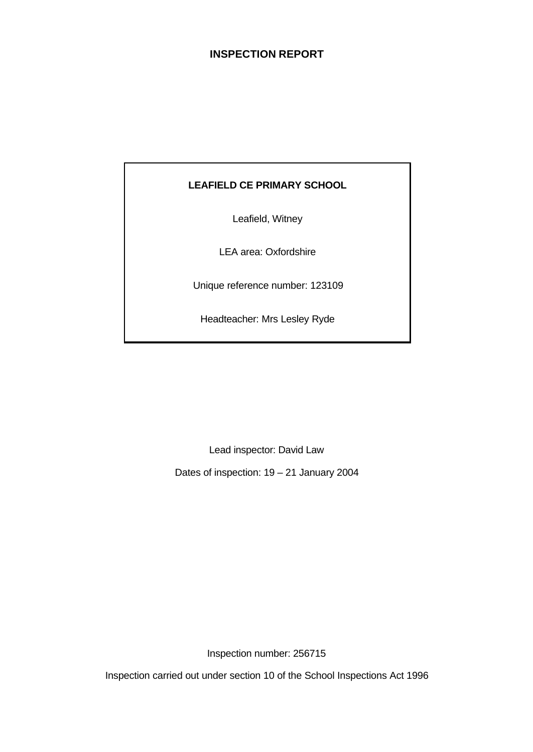# **INSPECTION REPORT**

# **LEAFIELD CE PRIMARY SCHOOL**

Leafield, Witney

LEA area: Oxfordshire

Unique reference number: 123109

Headteacher: Mrs Lesley Ryde

Lead inspector: David Law

Dates of inspection: 19 – 21 January 2004

Inspection number: 256715

Inspection carried out under section 10 of the School Inspections Act 1996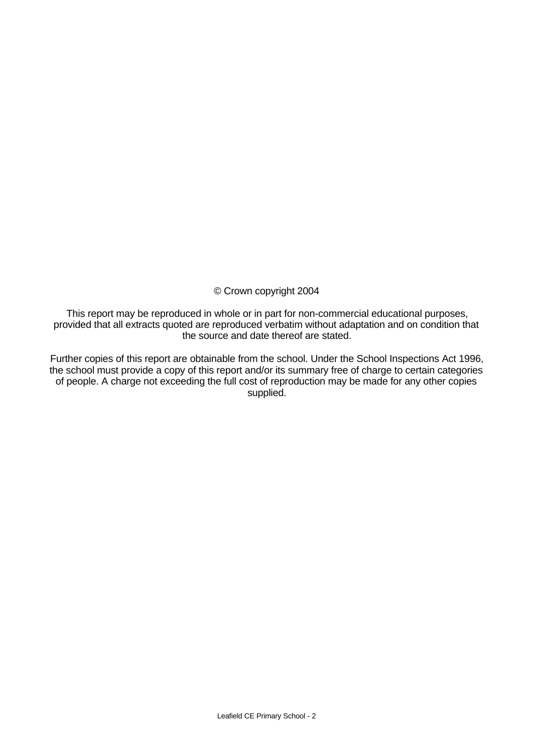## © Crown copyright 2004

This report may be reproduced in whole or in part for non-commercial educational purposes, provided that all extracts quoted are reproduced verbatim without adaptation and on condition that the source and date thereof are stated.

Further copies of this report are obtainable from the school. Under the School Inspections Act 1996, the school must provide a copy of this report and/or its summary free of charge to certain categories of people. A charge not exceeding the full cost of reproduction may be made for any other copies supplied.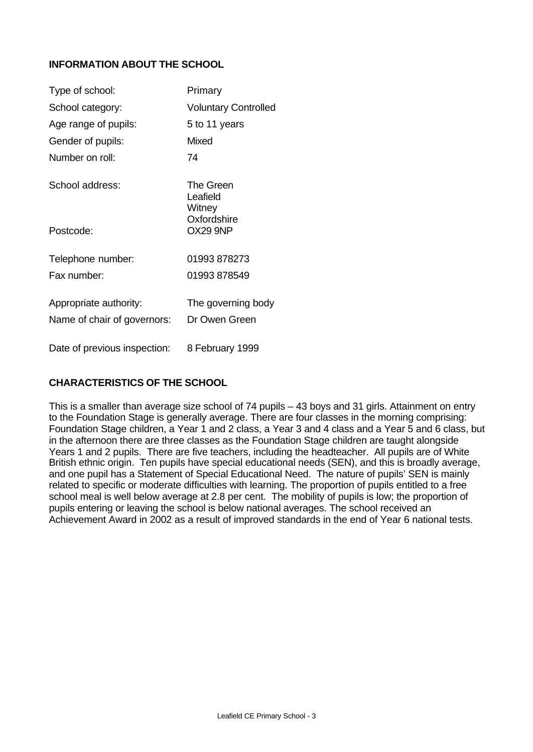# **INFORMATION ABOUT THE SCHOOL**

| Type of school:              | Primary                         |
|------------------------------|---------------------------------|
| School category:             | <b>Voluntary Controlled</b>     |
| Age range of pupils:         | 5 to 11 years                   |
| Gender of pupils:            | Mixed                           |
| Number on roll:              | 74                              |
| School address:              | The Green<br>Leafield<br>Witney |
| Postcode:                    | Oxfordshire<br>OX29 9NP         |
| Telephone number:            | 01993 878273                    |
| Fax number:                  | 01993 878549                    |
| Appropriate authority:       | The governing body              |
| Name of chair of governors:  | Dr Owen Green                   |
| Date of previous inspection: | 8 February 1999                 |

# **CHARACTERISTICS OF THE SCHOOL**

This is a smaller than average size school of 74 pupils – 43 boys and 31 girls. Attainment on entry to the Foundation Stage is generally average. There are four classes in the morning comprising: Foundation Stage children, a Year 1 and 2 class, a Year 3 and 4 class and a Year 5 and 6 class, but in the afternoon there are three classes as the Foundation Stage children are taught alongside Years 1 and 2 pupils. There are five teachers, including the headteacher. All pupils are of White British ethnic origin. Ten pupils have special educational needs (SEN), and this is broadly average, and one pupil has a Statement of Special Educational Need. The nature of pupils' SEN is mainly related to specific or moderate difficulties with learning. The proportion of pupils entitled to a free school meal is well below average at 2.8 per cent. The mobility of pupils is low; the proportion of pupils entering or leaving the school is below national averages. The school received an Achievement Award in 2002 as a result of improved standards in the end of Year 6 national tests.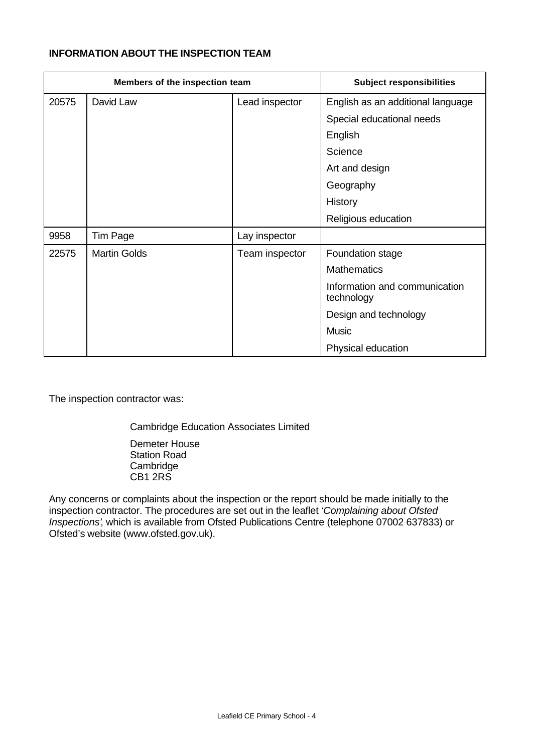## **INFORMATION ABOUT THE INSPECTION TEAM**

|       | Members of the inspection team |                | <b>Subject responsibilities</b>             |
|-------|--------------------------------|----------------|---------------------------------------------|
| 20575 | David Law                      | Lead inspector | English as an additional language           |
|       |                                |                | Special educational needs                   |
|       |                                |                | English                                     |
|       |                                |                | Science                                     |
|       |                                |                | Art and design                              |
|       |                                |                | Geography                                   |
|       |                                |                | History                                     |
|       |                                |                | Religious education                         |
| 9958  | <b>Tim Page</b>                | Lay inspector  |                                             |
| 22575 | <b>Martin Golds</b>            | Team inspector | Foundation stage                            |
|       |                                |                | <b>Mathematics</b>                          |
|       |                                |                | Information and communication<br>technology |
|       |                                |                | Design and technology                       |
|       |                                |                | <b>Music</b>                                |
|       |                                |                | Physical education                          |

The inspection contractor was:

Cambridge Education Associates Limited

Demeter House Station Road **Cambridge** CB1 2RS

Any concerns or complaints about the inspection or the report should be made initially to the inspection contractor. The procedures are set out in the leaflet *'Complaining about Ofsted Inspections'*, which is available from Ofsted Publications Centre (telephone 07002 637833) or Ofsted's website (www.ofsted.gov.uk).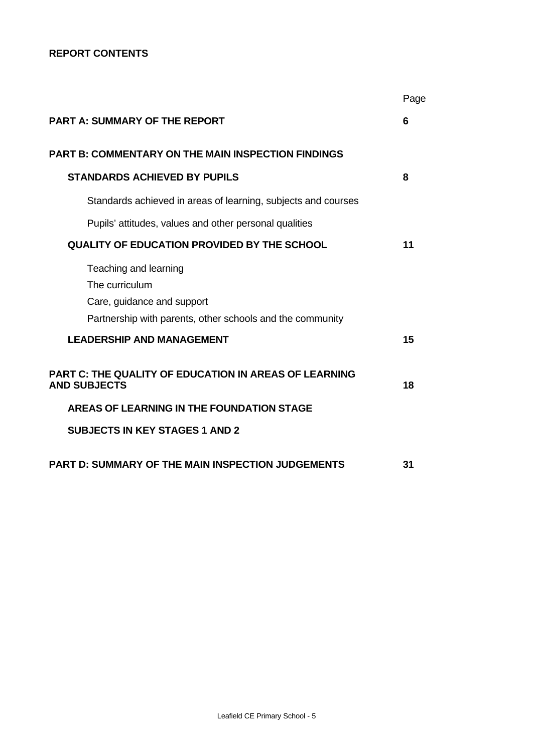## **REPORT CONTENTS**

|                                                                                                                                    | Page |
|------------------------------------------------------------------------------------------------------------------------------------|------|
| <b>PART A: SUMMARY OF THE REPORT</b>                                                                                               | 6    |
| <b>PART B: COMMENTARY ON THE MAIN INSPECTION FINDINGS</b>                                                                          |      |
| <b>STANDARDS ACHIEVED BY PUPILS</b>                                                                                                | 8    |
| Standards achieved in areas of learning, subjects and courses                                                                      |      |
| Pupils' attitudes, values and other personal qualities                                                                             |      |
| <b>QUALITY OF EDUCATION PROVIDED BY THE SCHOOL</b>                                                                                 | 11   |
| Teaching and learning<br>The curriculum<br>Care, guidance and support<br>Partnership with parents, other schools and the community |      |
| <b>LEADERSHIP AND MANAGEMENT</b>                                                                                                   | 15   |
| <b>PART C: THE QUALITY OF EDUCATION IN AREAS OF LEARNING</b><br><b>AND SUBJECTS</b>                                                | 18   |
| <b>AREAS OF LEARNING IN THE FOUNDATION STAGE</b>                                                                                   |      |
| <b>SUBJECTS IN KEY STAGES 1 AND 2</b>                                                                                              |      |
| <b>PART D: SUMMARY OF THE MAIN INSPECTION JUDGEMENTS</b>                                                                           | 31   |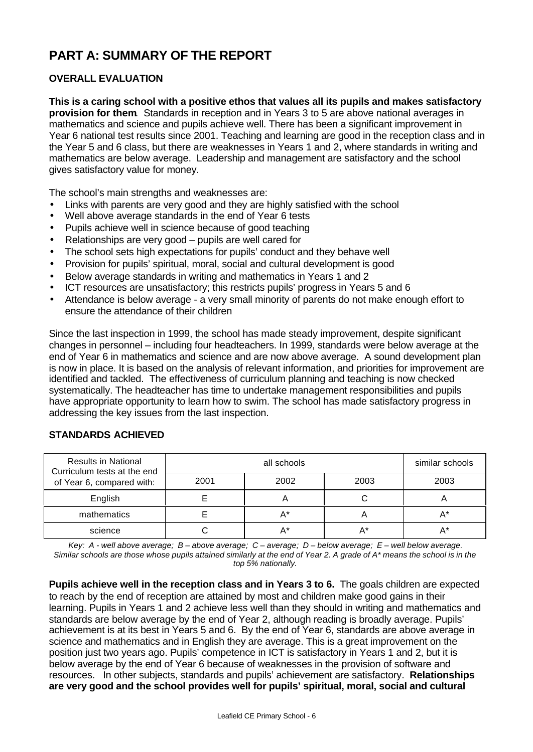# **PART A: SUMMARY OF THE REPORT**

## **OVERALL EVALUATION**

**This is a caring school with a positive ethos that values all its pupils and makes satisfactory provision for them**. Standards in reception and in Years 3 to 5 are above national averages in mathematics and science and pupils achieve well. There has been a significant improvement in Year 6 national test results since 2001. Teaching and learning are good in the reception class and in the Year 5 and 6 class, but there are weaknesses in Years 1 and 2, where standards in writing and mathematics are below average. Leadership and management are satisfactory and the school gives satisfactory value for money.

The school's main strengths and weaknesses are:

- Links with parents are very good and they are highly satisfied with the school
- Well above average standards in the end of Year 6 tests
- Pupils achieve well in science because of good teaching
- Relationships are very good pupils are well cared for
- The school sets high expectations for pupils' conduct and they behave well
- Provision for pupils' spiritual, moral, social and cultural development is good
- Below average standards in writing and mathematics in Years 1 and 2
- ICT resources are unsatisfactory; this restricts pupils' progress in Years 5 and 6
- Attendance is below average a very small minority of parents do not make enough effort to ensure the attendance of their children

Since the last inspection in 1999, the school has made steady improvement, despite significant changes in personnel – including four headteachers. In 1999, standards were below average at the end of Year 6 in mathematics and science and are now above average. A sound development plan is now in place. It is based on the analysis of relevant information, and priorities for improvement are identified and tackled. The effectiveness of curriculum planning and teaching is now checked systematically. The headteacher has time to undertake management responsibilities and pupils have appropriate opportunity to learn how to swim. The school has made satisfactory progress in addressing the key issues from the last inspection.

| <b>Results in National</b><br>Curriculum tests at the end |      | similar schools |      |      |
|-----------------------------------------------------------|------|-----------------|------|------|
| of Year 6, compared with:                                 | 2001 | 2002            | 2003 | 2003 |
| English                                                   |      |                 |      |      |
| mathematics                                               |      | A*              |      | Д*   |
| science                                                   |      | A*              |      |      |

## **STANDARDS ACHIEVED**

*Key: A - well above average; B – above average; C – average; D – below average; E – well below average. Similar schools are those whose pupils attained similarly at the end of Year 2. A grade of A\* means the school is in the top 5% nationally.*

**Pupils achieve well in the reception class and in Years 3 to 6.** The goals children are expected to reach by the end of reception are attained by most and children make good gains in their learning. Pupils in Years 1 and 2 achieve less well than they should in writing and mathematics and standards are below average by the end of Year 2, although reading is broadly average. Pupils' achievement is at its best in Years 5 and 6. By the end of Year 6, standards are above average in science and mathematics and in English they are average. This is a great improvement on the position just two years ago. Pupils' competence in ICT is satisfactory in Years 1 and 2, but it is below average by the end of Year 6 because of weaknesses in the provision of software and resources. In other subjects, standards and pupils' achievement are satisfactory. **Relationships are very good and the school provides well for pupils' spiritual, moral, social and cultural**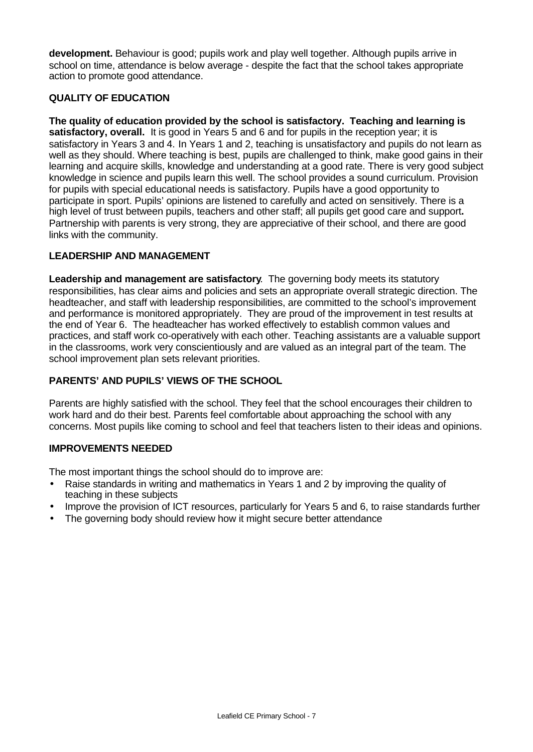**development.** Behaviour is good; pupils work and play well together. Although pupils arrive in school on time, attendance is below average - despite the fact that the school takes appropriate action to promote good attendance.

## **QUALITY OF EDUCATION**

**The quality of education provided by the school is satisfactory. Teaching and learning is** satisfactory, overall. It is good in Years 5 and 6 and for pupils in the reception year; it is satisfactory in Years 3 and 4. In Years 1 and 2, teaching is unsatisfactory and pupils do not learn as well as they should. Where teaching is best, pupils are challenged to think, make good gains in their learning and acquire skills, knowledge and understanding at a good rate. There is very good subject knowledge in science and pupils learn this well. The school provides a sound curriculum. Provision for pupils with special educational needs is satisfactory. Pupils have a good opportunity to participate in sport. Pupils' opinions are listened to carefully and acted on sensitively. There is a high level of trust between pupils, teachers and other staff; all pupils get good care and support**.** Partnership with parents is very strong, they are appreciative of their school, and there are good links with the community.

## **LEADERSHIP AND MANAGEMENT**

**Leadership and management are satisfactory**. The governing body meets its statutory responsibilities, has clear aims and policies and sets an appropriate overall strategic direction. The headteacher, and staff with leadership responsibilities, are committed to the school's improvement and performance is monitored appropriately. They are proud of the improvement in test results at the end of Year 6. The headteacher has worked effectively to establish common values and practices, and staff work co-operatively with each other. Teaching assistants are a valuable support in the classrooms, work very conscientiously and are valued as an integral part of the team. The school improvement plan sets relevant priorities.

# **PARENTS' AND PUPILS' VIEWS OF THE SCHOOL**

Parents are highly satisfied with the school. They feel that the school encourages their children to work hard and do their best. Parents feel comfortable about approaching the school with any concerns. Most pupils like coming to school and feel that teachers listen to their ideas and opinions.

# **IMPROVEMENTS NEEDED**

The most important things the school should do to improve are:

- Raise standards in writing and mathematics in Years 1 and 2 by improving the quality of teaching in these subjects
- Improve the provision of ICT resources, particularly for Years 5 and 6, to raise standards further
- The governing body should review how it might secure better attendance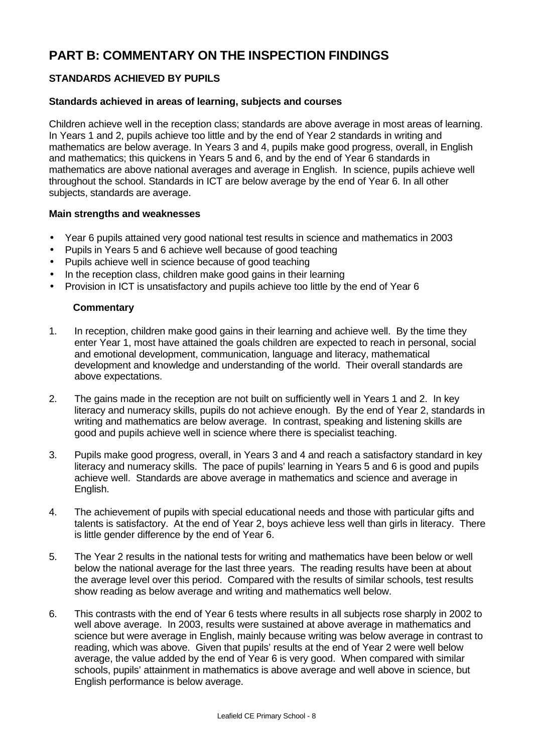# **PART B: COMMENTARY ON THE INSPECTION FINDINGS**

# **STANDARDS ACHIEVED BY PUPILS**

#### **Standards achieved in areas of learning, subjects and courses**

Children achieve well in the reception class; standards are above average in most areas of learning. In Years 1 and 2, pupils achieve too little and by the end of Year 2 standards in writing and mathematics are below average. In Years 3 and 4, pupils make good progress, overall, in English and mathematics; this quickens in Years 5 and 6, and by the end of Year 6 standards in mathematics are above national averages and average in English. In science, pupils achieve well throughout the school. Standards in ICT are below average by the end of Year 6. In all other subjects, standards are average.

## **Main strengths and weaknesses**

- Year 6 pupils attained very good national test results in science and mathematics in 2003
- Pupils in Years 5 and 6 achieve well because of good teaching
- Pupils achieve well in science because of good teaching
- In the reception class, children make good gains in their learning
- Provision in ICT is unsatisfactory and pupils achieve too little by the end of Year 6

- 1. In reception, children make good gains in their learning and achieve well. By the time they enter Year 1, most have attained the goals children are expected to reach in personal, social and emotional development, communication, language and literacy, mathematical development and knowledge and understanding of the world. Their overall standards are above expectations.
- 2. The gains made in the reception are not built on sufficiently well in Years 1 and 2. In key literacy and numeracy skills, pupils do not achieve enough. By the end of Year 2, standards in writing and mathematics are below average. In contrast, speaking and listening skills are good and pupils achieve well in science where there is specialist teaching.
- 3. Pupils make good progress, overall, in Years 3 and 4 and reach a satisfactory standard in key literacy and numeracy skills. The pace of pupils' learning in Years 5 and 6 is good and pupils achieve well. Standards are above average in mathematics and science and average in English.
- 4. The achievement of pupils with special educational needs and those with particular gifts and talents is satisfactory. At the end of Year 2, boys achieve less well than girls in literacy. There is little gender difference by the end of Year 6.
- 5. The Year 2 results in the national tests for writing and mathematics have been below or well below the national average for the last three years. The reading results have been at about the average level over this period. Compared with the results of similar schools, test results show reading as below average and writing and mathematics well below.
- 6. This contrasts with the end of Year 6 tests where results in all subjects rose sharply in 2002 to well above average. In 2003, results were sustained at above average in mathematics and science but were average in English, mainly because writing was below average in contrast to reading, which was above. Given that pupils' results at the end of Year 2 were well below average, the value added by the end of Year 6 is very good. When compared with similar schools, pupils' attainment in mathematics is above average and well above in science, but English performance is below average.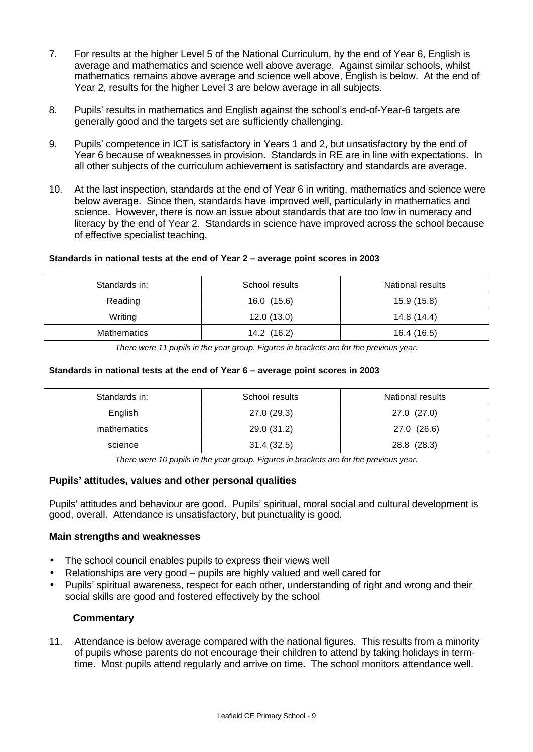- 7. For results at the higher Level 5 of the National Curriculum, by the end of Year 6, English is average and mathematics and science well above average. Against similar schools, whilst mathematics remains above average and science well above, English is below. At the end of Year 2, results for the higher Level 3 are below average in all subjects.
- 8. Pupils' results in mathematics and English against the school's end-of-Year-6 targets are generally good and the targets set are sufficiently challenging.
- 9. Pupils' competence in ICT is satisfactory in Years 1 and 2, but unsatisfactory by the end of Year 6 because of weaknesses in provision. Standards in RE are in line with expectations. In all other subjects of the curriculum achievement is satisfactory and standards are average.
- 10. At the last inspection, standards at the end of Year 6 in writing, mathematics and science were below average. Since then, standards have improved well, particularly in mathematics and science. However, there is now an issue about standards that are too low in numeracy and literacy by the end of Year 2. Standards in science have improved across the school because of effective specialist teaching.

#### **Standards in national tests at the end of Year 2 – average point scores in 2003**

| Standards in:      | School results | <b>National results</b> |
|--------------------|----------------|-------------------------|
| Reading            | 16.0 (15.6)    | 15.9 (15.8)             |
| Writing            | 12.0(13.0)     | 14.8 (14.4)             |
| <b>Mathematics</b> | 14.2 (16.2)    | 16.4 (16.5)             |

*There were 11 pupils in the year group. Figures in brackets are for the previous year.*

#### **Standards in national tests at the end of Year 6 – average point scores in 2003**

| Standards in: | School results | National results |
|---------------|----------------|------------------|
| English       | 27.0 (29.3)    | 27.0(27.0)       |
| mathematics   | 29.0 (31.2)    | 27.0 (26.6)      |
| science       | 31.4(32.5)     | 28.8 (28.3)      |

*There were 10 pupils in the year group. Figures in brackets are for the previous year.*

## **Pupils' attitudes, values and other personal qualities**

Pupils' attitudes and behaviour are good. Pupils' spiritual, moral social and cultural development is good, overall. Attendance is unsatisfactory, but punctuality is good.

#### **Main strengths and weaknesses**

- The school council enables pupils to express their views well
- Relationships are very good pupils are highly valued and well cared for
- Pupils' spiritual awareness, respect for each other, understanding of right and wrong and their social skills are good and fostered effectively by the school

## **Commentary**

11. Attendance is below average compared with the national figures. This results from a minority of pupils whose parents do not encourage their children to attend by taking holidays in termtime. Most pupils attend regularly and arrive on time. The school monitors attendance well.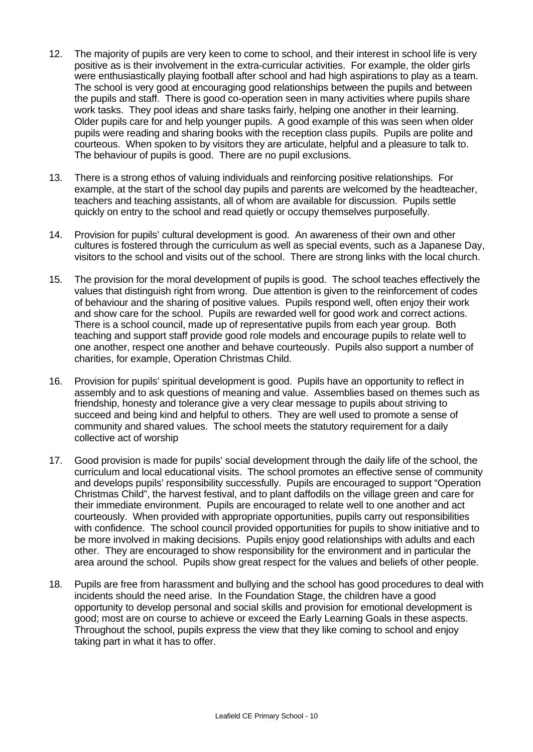- 12. The majority of pupils are very keen to come to school, and their interest in school life is very positive as is their involvement in the extra-curricular activities. For example, the older girls were enthusiastically playing football after school and had high aspirations to play as a team. The school is very good at encouraging good relationships between the pupils and between the pupils and staff. There is good co-operation seen in many activities where pupils share work tasks. They pool ideas and share tasks fairly, helping one another in their learning. Older pupils care for and help younger pupils. A good example of this was seen when older pupils were reading and sharing books with the reception class pupils. Pupils are polite and courteous. When spoken to by visitors they are articulate, helpful and a pleasure to talk to. The behaviour of pupils is good. There are no pupil exclusions.
- 13. There is a strong ethos of valuing individuals and reinforcing positive relationships. For example, at the start of the school day pupils and parents are welcomed by the headteacher, teachers and teaching assistants, all of whom are available for discussion. Pupils settle quickly on entry to the school and read quietly or occupy themselves purposefully.
- 14. Provision for pupils' cultural development is good. An awareness of their own and other cultures is fostered through the curriculum as well as special events, such as a Japanese Day, visitors to the school and visits out of the school. There are strong links with the local church.
- 15. The provision for the moral development of pupils is good. The school teaches effectively the values that distinguish right from wrong. Due attention is given to the reinforcement of codes of behaviour and the sharing of positive values. Pupils respond well, often enjoy their work and show care for the school. Pupils are rewarded well for good work and correct actions. There is a school council, made up of representative pupils from each year group. Both teaching and support staff provide good role models and encourage pupils to relate well to one another, respect one another and behave courteously. Pupils also support a number of charities, for example, Operation Christmas Child.
- 16. Provision for pupils' spiritual development is good. Pupils have an opportunity to reflect in assembly and to ask questions of meaning and value. Assemblies based on themes such as friendship, honesty and tolerance give a very clear message to pupils about striving to succeed and being kind and helpful to others. They are well used to promote a sense of community and shared values. The school meets the statutory requirement for a daily collective act of worship
- 17. Good provision is made for pupils' social development through the daily life of the school, the curriculum and local educational visits. The school promotes an effective sense of community and develops pupils' responsibility successfully. Pupils are encouraged to support "Operation Christmas Child", the harvest festival, and to plant daffodils on the village green and care for their immediate environment. Pupils are encouraged to relate well to one another and act courteously. When provided with appropriate opportunities, pupils carry out responsibilities with confidence. The school council provided opportunities for pupils to show initiative and to be more involved in making decisions. Pupils enjoy good relationships with adults and each other. They are encouraged to show responsibility for the environment and in particular the area around the school. Pupils show great respect for the values and beliefs of other people.
- 18. Pupils are free from harassment and bullying and the school has good procedures to deal with incidents should the need arise. In the Foundation Stage, the children have a good opportunity to develop personal and social skills and provision for emotional development is good; most are on course to achieve or exceed the Early Learning Goals in these aspects. Throughout the school, pupils express the view that they like coming to school and enjoy taking part in what it has to offer.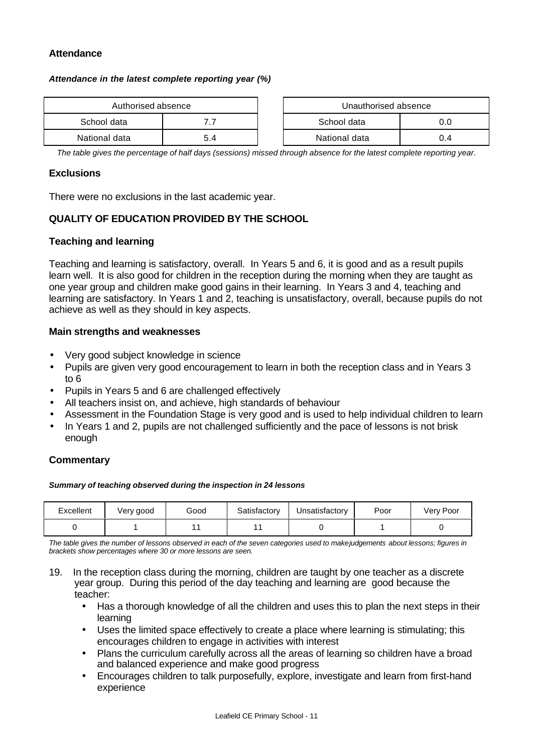#### **Attendance**

#### *Attendance in the latest complete reporting year (%)*

| Authorised absence |     | Unauthorised absence |     |
|--------------------|-----|----------------------|-----|
| School data        |     | School data          |     |
| National data      | 5.4 | National data        | 0.4 |

| Authorised absence |     | Unauthorised absence |     |
|--------------------|-----|----------------------|-----|
| data               |     | School data          | 0.C |
| data               | 5.4 | National data        | 0.4 |

*The table gives the percentage of half days (sessions) missed through absence for the latest complete reporting year.*

#### **Exclusions**

There were no exclusions in the last academic year.

## **QUALITY OF EDUCATION PROVIDED BY THE SCHOOL**

#### **Teaching and learning**

Teaching and learning is satisfactory, overall. In Years 5 and 6, it is good and as a result pupils learn well. It is also good for children in the reception during the morning when they are taught as one year group and children make good gains in their learning. In Years 3 and 4, teaching and learning are satisfactory. In Years 1 and 2, teaching is unsatisfactory, overall, because pupils do not achieve as well as they should in key aspects.

#### **Main strengths and weaknesses**

- Very good subject knowledge in science
- Pupils are given very good encouragement to learn in both the reception class and in Years 3 to 6
- Pupils in Years 5 and 6 are challenged effectively
- All teachers insist on, and achieve, high standards of behaviour
- Assessment in the Foundation Stage is very good and is used to help individual children to learn
- In Years 1 and 2, pupils are not challenged sufficiently and the pace of lessons is not brisk enough

## **Commentary**

#### *Summary of teaching observed during the inspection in 24 lessons*

| Excellent | Very good | Good | Satisfactory | Unsatisfactory | Poor | Very Poor |
|-----------|-----------|------|--------------|----------------|------|-----------|
|           |           |      |              |                |      |           |

*The table gives the number of lessons observed in each of the seven categories used to make judgements about lessons; figures in brackets show percentages where 30 or more lessons are seen.*

- 19. In the reception class during the morning, children are taught by one teacher as a discrete year group. During this period of the day teaching and learning are good because the teacher:
	- Has a thorough knowledge of all the children and uses this to plan the next steps in their learning
	- Uses the limited space effectively to create a place where learning is stimulating; this encourages children to engage in activities with interest
	- Plans the curriculum carefully across all the areas of learning so children have a broad and balanced experience and make good progress
	- Encourages children to talk purposefully, explore, investigate and learn from first-hand experience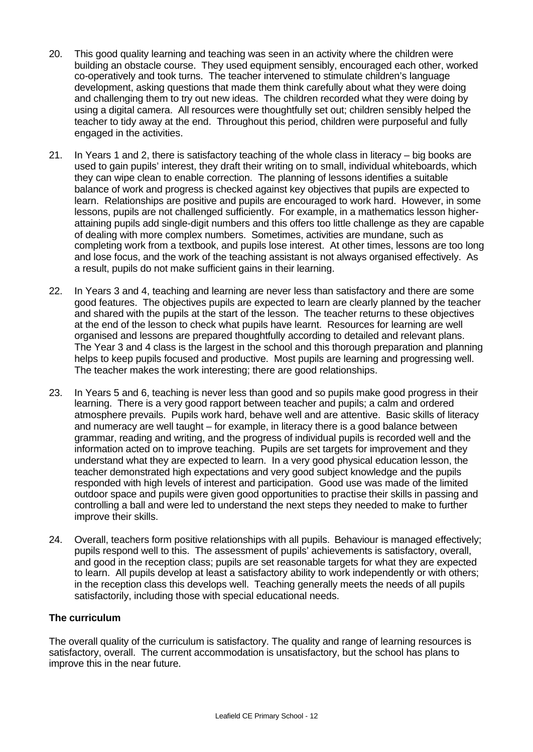- 20. This good quality learning and teaching was seen in an activity where the children were building an obstacle course. They used equipment sensibly, encouraged each other, worked co-operatively and took turns. The teacher intervened to stimulate children's language development, asking questions that made them think carefully about what they were doing and challenging them to try out new ideas. The children recorded what they were doing by using a digital camera. All resources were thoughtfully set out; children sensibly helped the teacher to tidy away at the end. Throughout this period, children were purposeful and fully engaged in the activities.
- 21. In Years 1 and 2, there is satisfactory teaching of the whole class in literacy big books are used to gain pupils' interest, they draft their writing on to small, individual whiteboards, which they can wipe clean to enable correction. The planning of lessons identifies a suitable balance of work and progress is checked against key objectives that pupils are expected to learn. Relationships are positive and pupils are encouraged to work hard. However, in some lessons, pupils are not challenged sufficiently. For example, in a mathematics lesson higherattaining pupils add single-digit numbers and this offers too little challenge as they are capable of dealing with more complex numbers. Sometimes, activities are mundane, such as completing work from a textbook, and pupils lose interest. At other times, lessons are too long and lose focus, and the work of the teaching assistant is not always organised effectively. As a result, pupils do not make sufficient gains in their learning.
- 22. In Years 3 and 4, teaching and learning are never less than satisfactory and there are some good features. The objectives pupils are expected to learn are clearly planned by the teacher and shared with the pupils at the start of the lesson. The teacher returns to these objectives at the end of the lesson to check what pupils have learnt. Resources for learning are well organised and lessons are prepared thoughtfully according to detailed and relevant plans. The Year 3 and 4 class is the largest in the school and this thorough preparation and planning helps to keep pupils focused and productive. Most pupils are learning and progressing well. The teacher makes the work interesting; there are good relationships.
- 23. In Years 5 and 6, teaching is never less than good and so pupils make good progress in their learning. There is a very good rapport between teacher and pupils; a calm and ordered atmosphere prevails. Pupils work hard, behave well and are attentive. Basic skills of literacy and numeracy are well taught – for example, in literacy there is a good balance between grammar, reading and writing, and the progress of individual pupils is recorded well and the information acted on to improve teaching. Pupils are set targets for improvement and they understand what they are expected to learn. In a very good physical education lesson, the teacher demonstrated high expectations and very good subject knowledge and the pupils responded with high levels of interest and participation. Good use was made of the limited outdoor space and pupils were given good opportunities to practise their skills in passing and controlling a ball and were led to understand the next steps they needed to make to further improve their skills.
- 24. Overall, teachers form positive relationships with all pupils. Behaviour is managed effectively; pupils respond well to this. The assessment of pupils' achievements is satisfactory, overall, and good in the reception class; pupils are set reasonable targets for what they are expected to learn. All pupils develop at least a satisfactory ability to work independently or with others; in the reception class this develops well. Teaching generally meets the needs of all pupils satisfactorily, including those with special educational needs.

## **The curriculum**

The overall quality of the curriculum is satisfactory. The quality and range of learning resources is satisfactory, overall. The current accommodation is unsatisfactory, but the school has plans to improve this in the near future.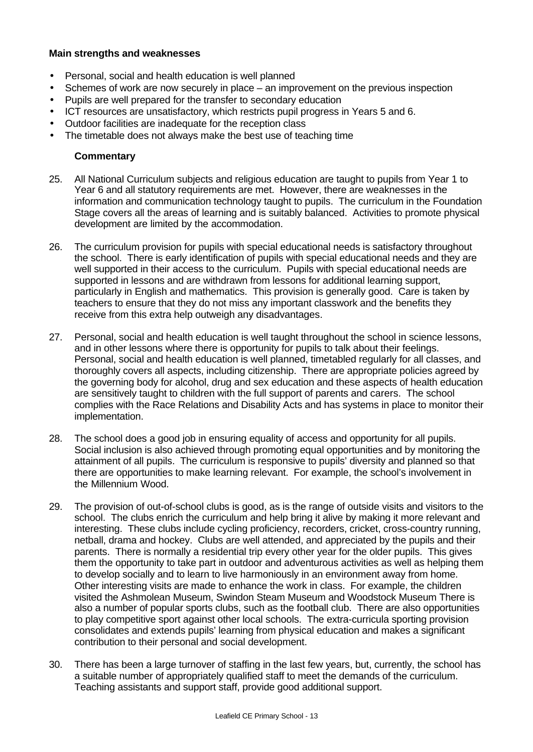## **Main strengths and weaknesses**

- Personal, social and health education is well planned
- Schemes of work are now securely in place an improvement on the previous inspection
- Pupils are well prepared for the transfer to secondary education
- ICT resources are unsatisfactory, which restricts pupil progress in Years 5 and 6.
- Outdoor facilities are inadequate for the reception class
- The timetable does not always make the best use of teaching time

- 25. All National Curriculum subjects and religious education are taught to pupils from Year 1 to Year 6 and all statutory requirements are met. However, there are weaknesses in the information and communication technology taught to pupils. The curriculum in the Foundation Stage covers all the areas of learning and is suitably balanced. Activities to promote physical development are limited by the accommodation.
- 26. The curriculum provision for pupils with special educational needs is satisfactory throughout the school. There is early identification of pupils with special educational needs and they are well supported in their access to the curriculum. Pupils with special educational needs are supported in lessons and are withdrawn from lessons for additional learning support, particularly in English and mathematics. This provision is generally good. Care is taken by teachers to ensure that they do not miss any important classwork and the benefits they receive from this extra help outweigh any disadvantages.
- 27. Personal, social and health education is well taught throughout the school in science lessons, and in other lessons where there is opportunity for pupils to talk about their feelings. Personal, social and health education is well planned, timetabled regularly for all classes, and thoroughly covers all aspects, including citizenship. There are appropriate policies agreed by the governing body for alcohol, drug and sex education and these aspects of health education are sensitively taught to children with the full support of parents and carers. The school complies with the Race Relations and Disability Acts and has systems in place to monitor their implementation.
- 28. The school does a good job in ensuring equality of access and opportunity for all pupils. Social inclusion is also achieved through promoting equal opportunities and by monitoring the attainment of all pupils. The curriculum is responsive to pupils' diversity and planned so that there are opportunities to make learning relevant. For example, the school's involvement in the Millennium Wood.
- 29. The provision of out-of-school clubs is good, as is the range of outside visits and visitors to the school. The clubs enrich the curriculum and help bring it alive by making it more relevant and interesting. These clubs include cycling proficiency, recorders, cricket, cross-country running, netball, drama and hockey. Clubs are well attended, and appreciated by the pupils and their parents. There is normally a residential trip every other year for the older pupils. This gives them the opportunity to take part in outdoor and adventurous activities as well as helping them to develop socially and to learn to live harmoniously in an environment away from home. Other interesting visits are made to enhance the work in class. For example, the children visited the Ashmolean Museum, Swindon Steam Museum and Woodstock Museum There is also a number of popular sports clubs, such as the football club. There are also opportunities to play competitive sport against other local schools. The extra-curricula sporting provision consolidates and extends pupils' learning from physical education and makes a significant contribution to their personal and social development.
- 30. There has been a large turnover of staffing in the last few years, but, currently, the school has a suitable number of appropriately qualified staff to meet the demands of the curriculum. Teaching assistants and support staff, provide good additional support.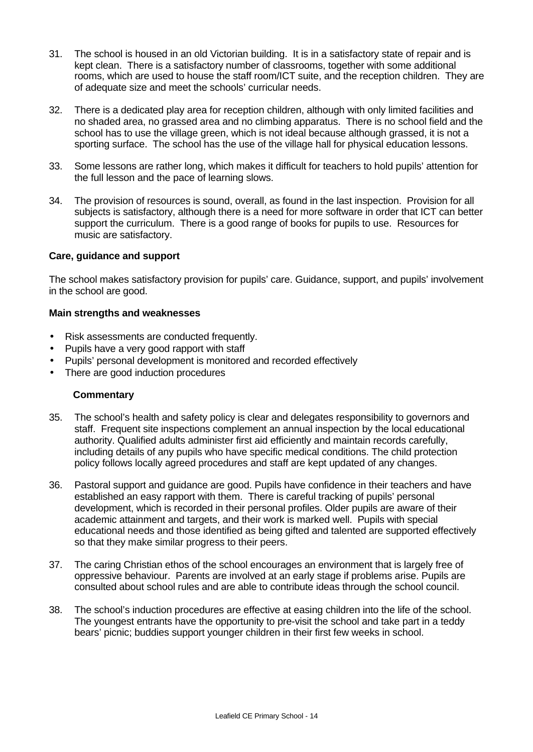- 31. The school is housed in an old Victorian building. It is in a satisfactory state of repair and is kept clean. There is a satisfactory number of classrooms, together with some additional rooms, which are used to house the staff room/ICT suite, and the reception children. They are of adequate size and meet the schools' curricular needs.
- 32. There is a dedicated play area for reception children, although with only limited facilities and no shaded area, no grassed area and no climbing apparatus. There is no school field and the school has to use the village green, which is not ideal because although grassed, it is not a sporting surface. The school has the use of the village hall for physical education lessons.
- 33. Some lessons are rather long, which makes it difficult for teachers to hold pupils' attention for the full lesson and the pace of learning slows.
- 34. The provision of resources is sound, overall, as found in the last inspection. Provision for all subjects is satisfactory, although there is a need for more software in order that ICT can better support the curriculum. There is a good range of books for pupils to use. Resources for music are satisfactory.

## **Care, guidance and support**

The school makes satisfactory provision for pupils' care. Guidance, support, and pupils' involvement in the school are good.

#### **Main strengths and weaknesses**

- Risk assessments are conducted frequently.
- Pupils have a very good rapport with staff
- Pupils' personal development is monitored and recorded effectively
- There are good induction procedures

- 35. The school's health and safety policy is clear and delegates responsibility to governors and staff. Frequent site inspections complement an annual inspection by the local educational authority. Qualified adults administer first aid efficiently and maintain records carefully, including details of any pupils who have specific medical conditions. The child protection policy follows locally agreed procedures and staff are kept updated of any changes.
- 36. Pastoral support and guidance are good. Pupils have confidence in their teachers and have established an easy rapport with them. There is careful tracking of pupils' personal development, which is recorded in their personal profiles. Older pupils are aware of their academic attainment and targets, and their work is marked well. Pupils with special educational needs and those identified as being gifted and talented are supported effectively so that they make similar progress to their peers.
- 37. The caring Christian ethos of the school encourages an environment that is largely free of oppressive behaviour. Parents are involved at an early stage if problems arise. Pupils are consulted about school rules and are able to contribute ideas through the school council.
- 38. The school's induction procedures are effective at easing children into the life of the school. The youngest entrants have the opportunity to pre-visit the school and take part in a teddy bears' picnic; buddies support younger children in their first few weeks in school.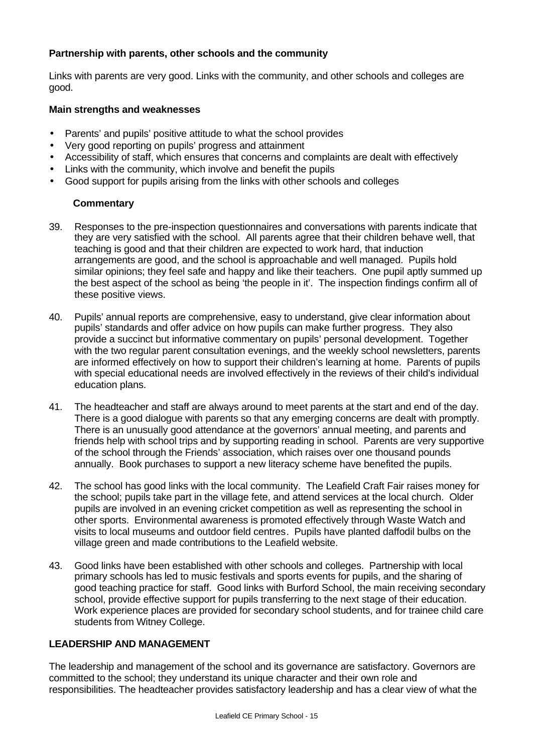## **Partnership with parents, other schools and the community**

Links with parents are very good. Links with the community, and other schools and colleges are good.

## **Main strengths and weaknesses**

- Parents' and pupils' positive attitude to what the school provides
- Very good reporting on pupils' progress and attainment
- Accessibility of staff, which ensures that concerns and complaints are dealt with effectively
- Links with the community, which involve and benefit the pupils
- Good support for pupils arising from the links with other schools and colleges

## **Commentary**

- 39. Responses to the pre-inspection questionnaires and conversations with parents indicate that they are very satisfied with the school. All parents agree that their children behave well, that teaching is good and that their children are expected to work hard, that induction arrangements are good, and the school is approachable and well managed. Pupils hold similar opinions; they feel safe and happy and like their teachers. One pupil aptly summed up the best aspect of the school as being 'the people in it'. The inspection findings confirm all of these positive views.
- 40. Pupils' annual reports are comprehensive, easy to understand, give clear information about pupils' standards and offer advice on how pupils can make further progress. They also provide a succinct but informative commentary on pupils' personal development. Together with the two regular parent consultation evenings, and the weekly school newsletters, parents are informed effectively on how to support their children's learning at home. Parents of pupils with special educational needs are involved effectively in the reviews of their child's individual education plans.
- 41. The headteacher and staff are always around to meet parents at the start and end of the day. There is a good dialogue with parents so that any emerging concerns are dealt with promptly. There is an unusually good attendance at the governors' annual meeting, and parents and friends help with school trips and by supporting reading in school. Parents are very supportive of the school through the Friends' association, which raises over one thousand pounds annually. Book purchases to support a new literacy scheme have benefited the pupils.
- 42. The school has good links with the local community. The Leafield Craft Fair raises money for the school; pupils take part in the village fete, and attend services at the local church. Older pupils are involved in an evening cricket competition as well as representing the school in other sports. Environmental awareness is promoted effectively through Waste Watch and visits to local museums and outdoor field centres. Pupils have planted daffodil bulbs on the village green and made contributions to the Leafield website.
- 43. Good links have been established with other schools and colleges. Partnership with local primary schools has led to music festivals and sports events for pupils, and the sharing of good teaching practice for staff. Good links with Burford School, the main receiving secondary school, provide effective support for pupils transferring to the next stage of their education. Work experience places are provided for secondary school students, and for trainee child care students from Witney College.

## **LEADERSHIP AND MANAGEMENT**

The leadership and management of the school and its governance are satisfactory. Governors are committed to the school; they understand its unique character and their own role and responsibilities. The headteacher provides satisfactory leadership and has a clear view of what the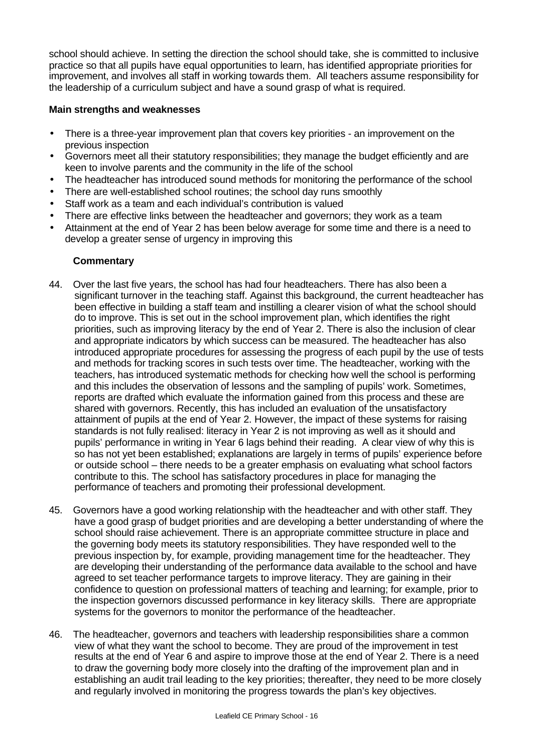school should achieve. In setting the direction the school should take, she is committed to inclusive practice so that all pupils have equal opportunities to learn, has identified appropriate priorities for improvement, and involves all staff in working towards them. All teachers assume responsibility for the leadership of a curriculum subject and have a sound grasp of what is required.

## **Main strengths and weaknesses**

- There is a three-year improvement plan that covers key priorities an improvement on the previous inspection
- Governors meet all their statutory responsibilities; they manage the budget efficiently and are keen to involve parents and the community in the life of the school
- The headteacher has introduced sound methods for monitoring the performance of the school
- There are well-established school routines; the school day runs smoothly
- Staff work as a team and each individual's contribution is valued
- There are effective links between the headteacher and governors; they work as a team
- Attainment at the end of Year 2 has been below average for some time and there is a need to develop a greater sense of urgency in improving this

- 44. Over the last five years, the school has had four headteachers. There has also been a significant turnover in the teaching staff. Against this background, the current headteacher has been effective in building a staff team and instilling a clearer vision of what the school should do to improve. This is set out in the school improvement plan, which identifies the right priorities, such as improving literacy by the end of Year 2. There is also the inclusion of clear and appropriate indicators by which success can be measured. The headteacher has also introduced appropriate procedures for assessing the progress of each pupil by the use of tests and methods for tracking scores in such tests over time. The headteacher, working with the teachers, has introduced systematic methods for checking how well the school is performing and this includes the observation of lessons and the sampling of pupils' work. Sometimes, reports are drafted which evaluate the information gained from this process and these are shared with governors. Recently, this has included an evaluation of the unsatisfactory attainment of pupils at the end of Year 2. However, the impact of these systems for raising standards is not fully realised: literacy in Year 2 is not improving as well as it should and pupils' performance in writing in Year 6 lags behind their reading. A clear view of why this is so has not yet been established; explanations are largely in terms of pupils' experience before or outside school – there needs to be a greater emphasis on evaluating what school factors contribute to this. The school has satisfactory procedures in place for managing the performance of teachers and promoting their professional development.
- 45. Governors have a good working relationship with the headteacher and with other staff. They have a good grasp of budget priorities and are developing a better understanding of where the school should raise achievement. There is an appropriate committee structure in place and the governing body meets its statutory responsibilities. They have responded well to the previous inspection by, for example, providing management time for the headteacher. They are developing their understanding of the performance data available to the school and have agreed to set teacher performance targets to improve literacy. They are gaining in their confidence to question on professional matters of teaching and learning; for example, prior to the inspection governors discussed performance in key literacy skills. There are appropriate systems for the governors to monitor the performance of the headteacher.
- 46. The headteacher, governors and teachers with leadership responsibilities share a common view of what they want the school to become. They are proud of the improvement in test results at the end of Year 6 and aspire to improve those at the end of Year 2. There is a need to draw the governing body more closely into the drafting of the improvement plan and in establishing an audit trail leading to the key priorities; thereafter, they need to be more closely and regularly involved in monitoring the progress towards the plan's key objectives.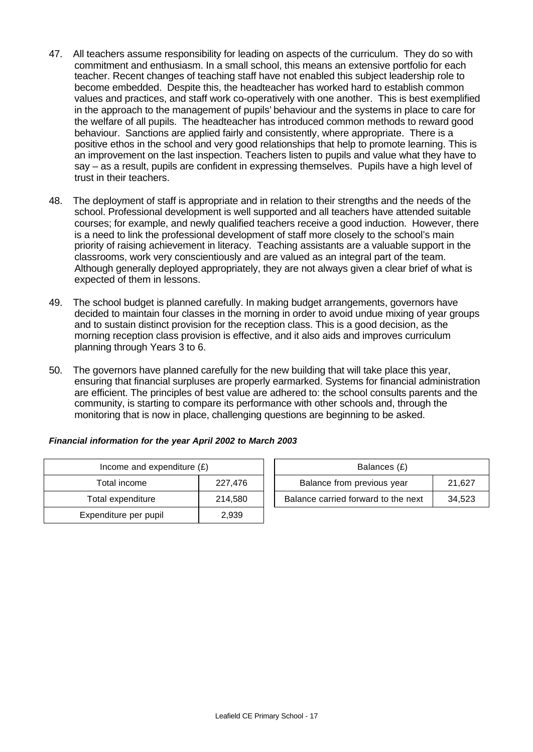- 47. All teachers assume responsibility for leading on aspects of the curriculum. They do so with commitment and enthusiasm. In a small school, this means an extensive portfolio for each teacher. Recent changes of teaching staff have not enabled this subject leadership role to become embedded. Despite this, the headteacher has worked hard to establish common values and practices, and staff work co-operatively with one another. This is best exemplified in the approach to the management of pupils' behaviour and the systems in place to care for the welfare of all pupils. The headteacher has introduced common methods to reward good behaviour. Sanctions are applied fairly and consistently, where appropriate. There is a positive ethos in the school and very good relationships that help to promote learning. This is an improvement on the last inspection. Teachers listen to pupils and value what they have to say – as a result, pupils are confident in expressing themselves. Pupils have a high level of trust in their teachers.
- 48. The deployment of staff is appropriate and in relation to their strengths and the needs of the school. Professional development is well supported and all teachers have attended suitable courses; for example, and newly qualified teachers receive a good induction. However, there is a need to link the professional development of staff more closely to the school's main priority of raising achievement in literacy. Teaching assistants are a valuable support in the classrooms, work very conscientiously and are valued as an integral part of the team. Although generally deployed appropriately, they are not always given a clear brief of what is expected of them in lessons.
- 49. The school budget is planned carefully. In making budget arrangements, governors have decided to maintain four classes in the morning in order to avoid undue mixing of year groups and to sustain distinct provision for the reception class. This is a good decision, as the morning reception class provision is effective, and it also aids and improves curriculum planning through Years 3 to 6.
- 50. The governors have planned carefully for the new building that will take place this year, ensuring that financial surpluses are properly earmarked. Systems for financial administration are efficient. The principles of best value are adhered to: the school consults parents and the community, is starting to compare its performance with other schools and, through the monitoring that is now in place, challenging questions are beginning to be asked.

| Income and expenditure $(E)$ |         |  | Balances (£)                   |
|------------------------------|---------|--|--------------------------------|
| Total income                 | 227,476 |  | Balance from previous year     |
| Total expenditure            | 214,580 |  | Balance carried forward to the |
| Expenditure per pupil        | 2,939   |  |                                |

| Financial information for the year April 2002 to March 2003 |  |  |  |
|-------------------------------------------------------------|--|--|--|

|                                                                               | Income and expenditure $(E)$ |         |  | Balances (£)               |        |
|-------------------------------------------------------------------------------|------------------------------|---------|--|----------------------------|--------|
|                                                                               | Total income                 | 227.476 |  | Balance from previous year | 21.627 |
| Balance carried forward to the next<br>214.580<br>Total expenditure<br>34,523 |                              |         |  |                            |        |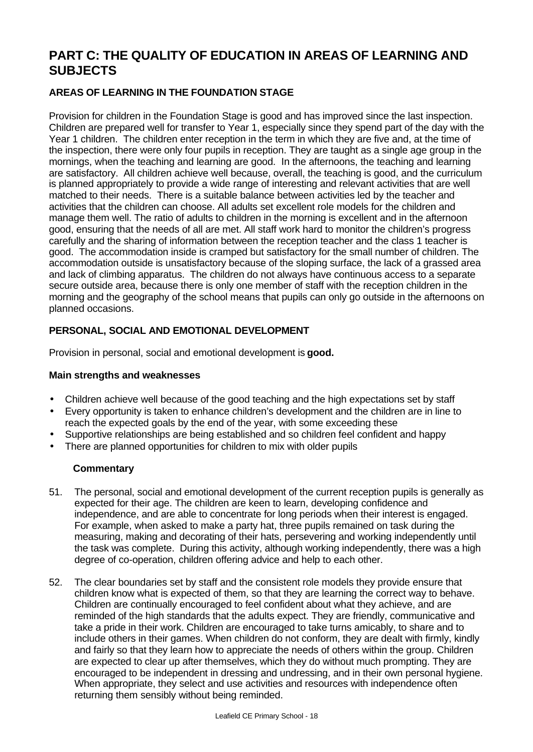# **PART C: THE QUALITY OF EDUCATION IN AREAS OF LEARNING AND SUBJECTS**

# **AREAS OF LEARNING IN THE FOUNDATION STAGE**

Provision for children in the Foundation Stage is good and has improved since the last inspection. Children are prepared well for transfer to Year 1, especially since they spend part of the day with the Year 1 children. The children enter reception in the term in which they are five and, at the time of the inspection, there were only four pupils in reception. They are taught as a single age group in the mornings, when the teaching and learning are good. In the afternoons, the teaching and learning are satisfactory. All children achieve well because, overall, the teaching is good, and the curriculum is planned appropriately to provide a wide range of interesting and relevant activities that are well matched to their needs. There is a suitable balance between activities led by the teacher and activities that the children can choose. All adults set excellent role models for the children and manage them well. The ratio of adults to children in the morning is excellent and in the afternoon good, ensuring that the needs of all are met. All staff work hard to monitor the children's progress carefully and the sharing of information between the reception teacher and the class 1 teacher is good. The accommodation inside is cramped but satisfactory for the small number of children. The accommodation outside is unsatisfactory because of the sloping surface, the lack of a grassed area and lack of climbing apparatus. The children do not always have continuous access to a separate secure outside area, because there is only one member of staff with the reception children in the morning and the geography of the school means that pupils can only go outside in the afternoons on planned occasions.

# **PERSONAL, SOCIAL AND EMOTIONAL DEVELOPMENT**

Provision in personal, social and emotional development is **good.**

## **Main strengths and weaknesses**

- Children achieve well because of the good teaching and the high expectations set by staff
- Every opportunity is taken to enhance children's development and the children are in line to reach the expected goals by the end of the year, with some exceeding these
- Supportive relationships are being established and so children feel confident and happy
- There are planned opportunities for children to mix with older pupils

- 51. The personal, social and emotional development of the current reception pupils is generally as expected for their age. The children are keen to learn, developing confidence and independence, and are able to concentrate for long periods when their interest is engaged. For example, when asked to make a party hat, three pupils remained on task during the measuring, making and decorating of their hats, persevering and working independently until the task was complete. During this activity, although working independently, there was a high degree of co-operation, children offering advice and help to each other.
- 52. The clear boundaries set by staff and the consistent role models they provide ensure that children know what is expected of them, so that they are learning the correct way to behave. Children are continually encouraged to feel confident about what they achieve, and are reminded of the high standards that the adults expect. They are friendly, communicative and take a pride in their work. Children are encouraged to take turns amicably, to share and to include others in their games. When children do not conform, they are dealt with firmly, kindly and fairly so that they learn how to appreciate the needs of others within the group. Children are expected to clear up after themselves, which they do without much prompting. They are encouraged to be independent in dressing and undressing, and in their own personal hygiene. When appropriate, they select and use activities and resources with independence often returning them sensibly without being reminded.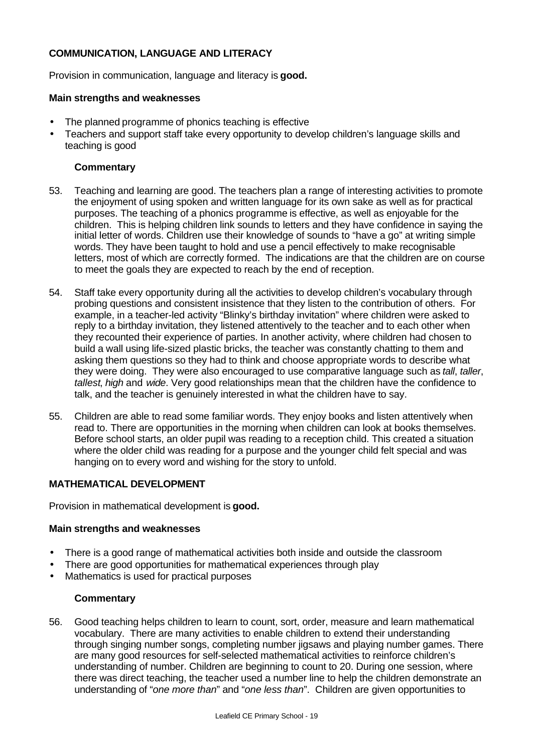## **COMMUNICATION, LANGUAGE AND LITERACY**

Provision in communication, language and literacy is **good.**

## **Main strengths and weaknesses**

- The planned programme of phonics teaching is effective
- Teachers and support staff take every opportunity to develop children's language skills and teaching is good

## **Commentary**

- 53. Teaching and learning are good. The teachers plan a range of interesting activities to promote the enjoyment of using spoken and written language for its own sake as well as for practical purposes. The teaching of a phonics programme is effective, as well as enjoyable for the children. This is helping children link sounds to letters and they have confidence in saying the initial letter of words. Children use their knowledge of sounds to "have a go" at writing simple words. They have been taught to hold and use a pencil effectively to make recognisable letters, most of which are correctly formed. The indications are that the children are on course to meet the goals they are expected to reach by the end of reception.
- 54. Staff take every opportunity during all the activities to develop children's vocabulary through probing questions and consistent insistence that they listen to the contribution of others. For example, in a teacher-led activity "Blinky's birthday invitation" where children were asked to reply to a birthday invitation, they listened attentively to the teacher and to each other when they recounted their experience of parties. In another activity, where children had chosen to build a wall using life-sized plastic bricks, the teacher was constantly chatting to them and asking them questions so they had to think and choose appropriate words to describe what they were doing. They were also encouraged to use comparative language such as *tall*, *taller*, *tallest*, *high* and *wide*. Very good relationships mean that the children have the confidence to talk, and the teacher is genuinely interested in what the children have to say.
- 55. Children are able to read some familiar words. They enjoy books and listen attentively when read to. There are opportunities in the morning when children can look at books themselves. Before school starts, an older pupil was reading to a reception child. This created a situation where the older child was reading for a purpose and the younger child felt special and was hanging on to every word and wishing for the story to unfold.

# **MATHEMATICAL DEVELOPMENT**

Provision in mathematical development is **good.**

## **Main strengths and weaknesses**

- There is a good range of mathematical activities both inside and outside the classroom
- There are good opportunities for mathematical experiences through play
- Mathematics is used for practical purposes

## **Commentary**

56. Good teaching helps children to learn to count, sort, order, measure and learn mathematical vocabulary. There are many activities to enable children to extend their understanding through singing number songs, completing number jigsaws and playing number games. There are many good resources for self-selected mathematical activities to reinforce children's understanding of number. Children are beginning to count to 20. During one session, where there was direct teaching, the teacher used a number line to help the children demonstrate an understanding of "*one more than*" and "*one less than*". Children are given opportunities to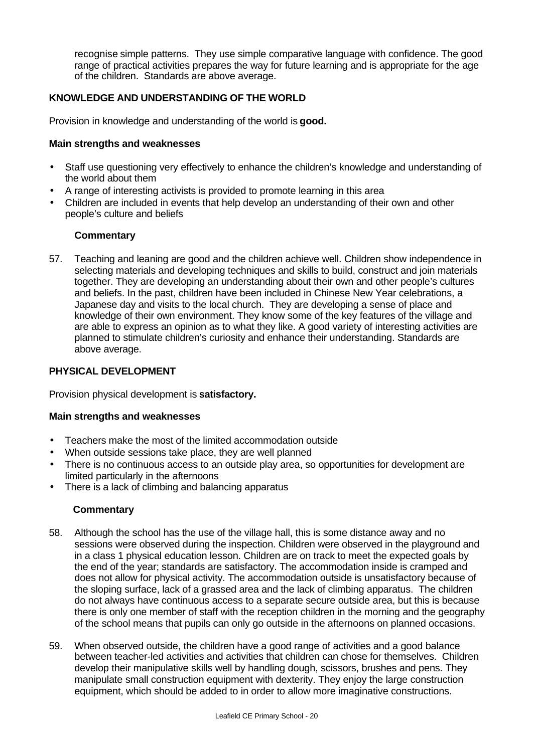recognise simple patterns. They use simple comparative language with confidence. The good range of practical activities prepares the way for future learning and is appropriate for the age of the children. Standards are above average.

## **KNOWLEDGE AND UNDERSTANDING OF THE WORLD**

Provision in knowledge and understanding of the world is **good.**

## **Main strengths and weaknesses**

- Staff use questioning very effectively to enhance the children's knowledge and understanding of the world about them
- A range of interesting activists is provided to promote learning in this area
- Children are included in events that help develop an understanding of their own and other people's culture and beliefs

## **Commentary**

57. Teaching and leaning are good and the children achieve well. Children show independence in selecting materials and developing techniques and skills to build, construct and join materials together. They are developing an understanding about their own and other people's cultures and beliefs. In the past, children have been included in Chinese New Year celebrations, a Japanese day and visits to the local church. They are developing a sense of place and knowledge of their own environment. They know some of the key features of the village and are able to express an opinion as to what they like. A good variety of interesting activities are planned to stimulate children's curiosity and enhance their understanding. Standards are above average.

## **PHYSICAL DEVELOPMENT**

Provision physical development is **satisfactory.**

## **Main strengths and weaknesses**

- Teachers make the most of the limited accommodation outside
- When outside sessions take place, they are well planned
- There is no continuous access to an outside play area, so opportunities for development are limited particularly in the afternoons
- There is a lack of climbing and balancing apparatus

- 58. Although the school has the use of the village hall, this is some distance away and no sessions were observed during the inspection. Children were observed in the playground and in a class 1 physical education lesson. Children are on track to meet the expected goals by the end of the year; standards are satisfactory. The accommodation inside is cramped and does not allow for physical activity. The accommodation outside is unsatisfactory because of the sloping surface, lack of a grassed area and the lack of climbing apparatus. The children do not always have continuous access to a separate secure outside area, but this is because there is only one member of staff with the reception children in the morning and the geography of the school means that pupils can only go outside in the afternoons on planned occasions.
- 59. When observed outside, the children have a good range of activities and a good balance between teacher-led activities and activities that children can chose for themselves. Children develop their manipulative skills well by handling dough, scissors, brushes and pens. They manipulate small construction equipment with dexterity. They enjoy the large construction equipment, which should be added to in order to allow more imaginative constructions.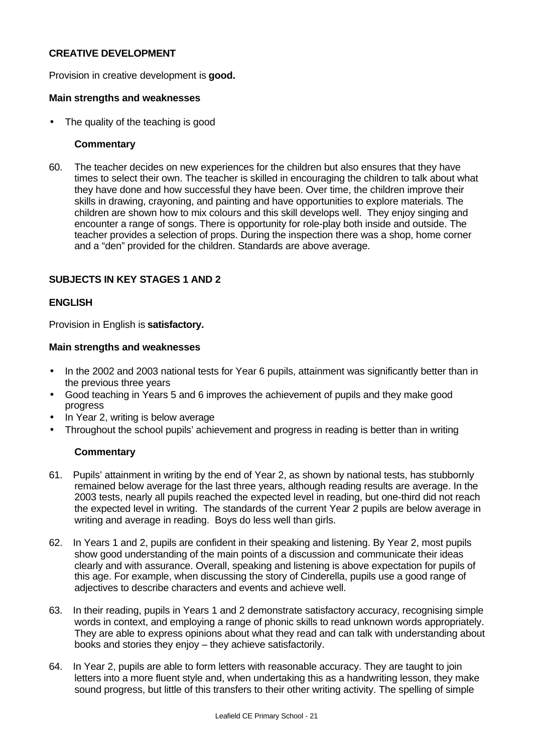## **CREATIVE DEVELOPMENT**

Provision in creative development is **good.**

## **Main strengths and weaknesses**

The quality of the teaching is good

## **Commentary**

60. The teacher decides on new experiences for the children but also ensures that they have times to select their own. The teacher is skilled in encouraging the children to talk about what they have done and how successful they have been. Over time, the children improve their skills in drawing, crayoning, and painting and have opportunities to explore materials. The children are shown how to mix colours and this skill develops well. They enjoy singing and encounter a range of songs. There is opportunity for role-play both inside and outside. The teacher provides a selection of props. During the inspection there was a shop, home corner and a "den" provided for the children. Standards are above average.

## **SUBJECTS IN KEY STAGES 1 AND 2**

## **ENGLISH**

Provision in English is **satisfactory.**

#### **Main strengths and weaknesses**

- In the 2002 and 2003 national tests for Year 6 pupils, attainment was significantly better than in the previous three years
- Good teaching in Years 5 and 6 improves the achievement of pupils and they make good progress
- In Year 2, writing is below average
- Throughout the school pupils' achievement and progress in reading is better than in writing

- 61. Pupils' attainment in writing by the end of Year 2, as shown by national tests, has stubbornly remained below average for the last three years, although reading results are average. In the 2003 tests, nearly all pupils reached the expected level in reading, but one-third did not reach the expected level in writing. The standards of the current Year 2 pupils are below average in writing and average in reading. Boys do less well than girls.
- 62. In Years 1 and 2, pupils are confident in their speaking and listening. By Year 2, most pupils show good understanding of the main points of a discussion and communicate their ideas clearly and with assurance. Overall, speaking and listening is above expectation for pupils of this age. For example, when discussing the story of Cinderella, pupils use a good range of adjectives to describe characters and events and achieve well.
- 63. In their reading, pupils in Years 1 and 2 demonstrate satisfactory accuracy, recognising simple words in context, and employing a range of phonic skills to read unknown words appropriately. They are able to express opinions about what they read and can talk with understanding about books and stories they enjoy – they achieve satisfactorily.
- 64. In Year 2, pupils are able to form letters with reasonable accuracy. They are taught to join letters into a more fluent style and, when undertaking this as a handwriting lesson, they make sound progress, but little of this transfers to their other writing activity. The spelling of simple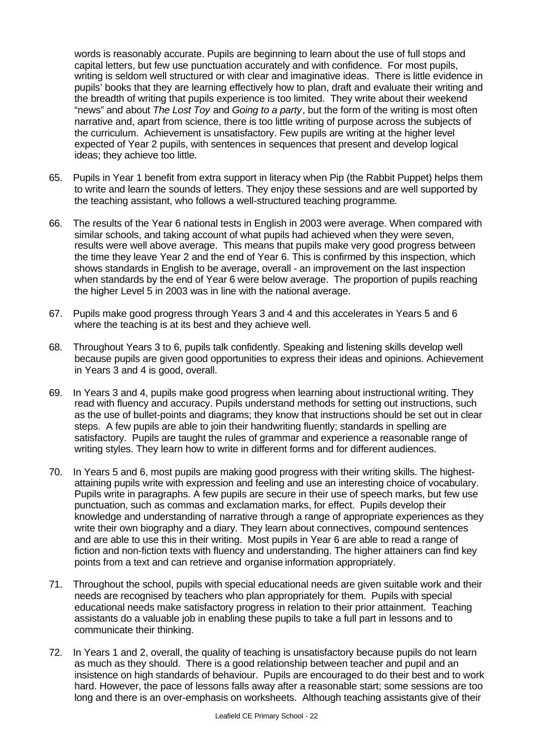words is reasonably accurate. Pupils are beginning to learn about the use of full stops and capital letters, but few use punctuation accurately and with confidence. For most pupils, writing is seldom well structured or with clear and imaginative ideas. There is little evidence in pupils' books that they are learning effectively how to plan, draft and evaluate their writing and the breadth of writing that pupils experience is too limited. They write about their weekend "news" and about *The Lost Toy* and *Going to a party*, but the form of the writing is most often narrative and, apart from science, there is too little writing of purpose across the subjects of the curriculum. Achievement is unsatisfactory. Few pupils are writing at the higher level expected of Year 2 pupils, with sentences in sequences that present and develop logical ideas; they achieve too little.

- 65. Pupils in Year 1 benefit from extra support in literacy when Pip (the Rabbit Puppet) helps them to write and learn the sounds of letters. They enjoy these sessions and are well supported by the teaching assistant, who follows a well-structured teaching programme.
- 66. The results of the Year 6 national tests in English in 2003 were average. When compared with similar schools, and taking account of what pupils had achieved when they were seven, results were well above average. This means that pupils make very good progress between the time they leave Year 2 and the end of Year 6. This is confirmed by this inspection, which shows standards in English to be average, overall - an improvement on the last inspection when standards by the end of Year 6 were below average. The proportion of pupils reaching the higher Level 5 in 2003 was in line with the national average.
- 67. Pupils make good progress through Years 3 and 4 and this accelerates in Years 5 and 6 where the teaching is at its best and they achieve well.
- 68. Throughout Years 3 to 6, pupils talk confidently. Speaking and listening skills develop well because pupils are given good opportunities to express their ideas and opinions. Achievement in Years 3 and 4 is good, overall.
- 69. In Years 3 and 4, pupils make good progress when learning about instructional writing. They read with fluency and accuracy. Pupils understand methods for setting out instructions, such as the use of bullet-points and diagrams; they know that instructions should be set out in clear steps. A few pupils are able to join their handwriting fluently; standards in spelling are satisfactory. Pupils are taught the rules of grammar and experience a reasonable range of writing styles. They learn how to write in different forms and for different audiences.
- 70. In Years 5 and 6, most pupils are making good progress with their writing skills. The highestattaining pupils write with expression and feeling and use an interesting choice of vocabulary. Pupils write in paragraphs. A few pupils are secure in their use of speech marks, but few use punctuation, such as commas and exclamation marks, for effect. Pupils develop their knowledge and understanding of narrative through a range of appropriate experiences as they write their own biography and a diary. They learn about connectives, compound sentences and are able to use this in their writing. Most pupils in Year 6 are able to read a range of fiction and non-fiction texts with fluency and understanding. The higher attainers can find key points from a text and can retrieve and organise information appropriately.
- 71. Throughout the school, pupils with special educational needs are given suitable work and their needs are recognised by teachers who plan appropriately for them. Pupils with special educational needs make satisfactory progress in relation to their prior attainment. Teaching assistants do a valuable job in enabling these pupils to take a full part in lessons and to communicate their thinking.
- 72. In Years 1 and 2, overall, the quality of teaching is unsatisfactory because pupils do not learn as much as they should. There is a good relationship between teacher and pupil and an insistence on high standards of behaviour. Pupils are encouraged to do their best and to work hard. However, the pace of lessons falls away after a reasonable start; some sessions are too long and there is an over-emphasis on worksheets. Although teaching assistants give of their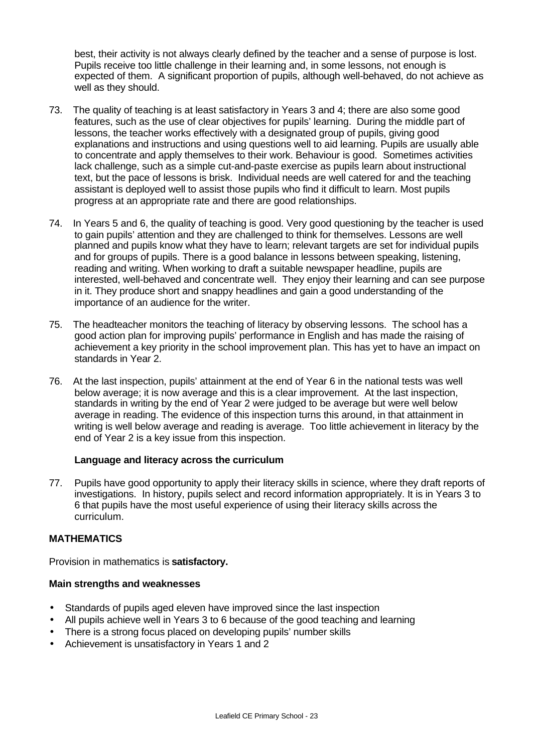best, their activity is not always clearly defined by the teacher and a sense of purpose is lost. Pupils receive too little challenge in their learning and, in some lessons, not enough is expected of them. A significant proportion of pupils, although well-behaved, do not achieve as well as they should.

- 73. The quality of teaching is at least satisfactory in Years 3 and 4; there are also some good features, such as the use of clear objectives for pupils' learning. During the middle part of lessons, the teacher works effectively with a designated group of pupils, giving good explanations and instructions and using questions well to aid learning. Pupils are usually able to concentrate and apply themselves to their work. Behaviour is good. Sometimes activities lack challenge, such as a simple cut-and-paste exercise as pupils learn about instructional text, but the pace of lessons is brisk. Individual needs are well catered for and the teaching assistant is deployed well to assist those pupils who find it difficult to learn. Most pupils progress at an appropriate rate and there are good relationships.
- 74. In Years 5 and 6, the quality of teaching is good. Very good questioning by the teacher is used to gain pupils' attention and they are challenged to think for themselves. Lessons are well planned and pupils know what they have to learn; relevant targets are set for individual pupils and for groups of pupils. There is a good balance in lessons between speaking, listening, reading and writing. When working to draft a suitable newspaper headline, pupils are interested, well-behaved and concentrate well. They enjoy their learning and can see purpose in it. They produce short and snappy headlines and gain a good understanding of the importance of an audience for the writer.
- 75. The headteacher monitors the teaching of literacy by observing lessons. The school has a good action plan for improving pupils' performance in English and has made the raising of achievement a key priority in the school improvement plan. This has yet to have an impact on standards in Year 2.
- 76. At the last inspection, pupils' attainment at the end of Year 6 in the national tests was well below average; it is now average and this is a clear improvement. At the last inspection, standards in writing by the end of Year 2 were judged to be average but were well below average in reading. The evidence of this inspection turns this around, in that attainment in writing is well below average and reading is average. Too little achievement in literacy by the end of Year 2 is a key issue from this inspection.

## **Language and literacy across the curriculum**

77. Pupils have good opportunity to apply their literacy skills in science, where they draft reports of investigations. In history, pupils select and record information appropriately. It is in Years 3 to 6 that pupils have the most useful experience of using their literacy skills across the curriculum.

## **MATHEMATICS**

Provision in mathematics is **satisfactory.**

#### **Main strengths and weaknesses**

- Standards of pupils aged eleven have improved since the last inspection
- All pupils achieve well in Years 3 to 6 because of the good teaching and learning
- There is a strong focus placed on developing pupils' number skills
- Achievement is unsatisfactory in Years 1 and 2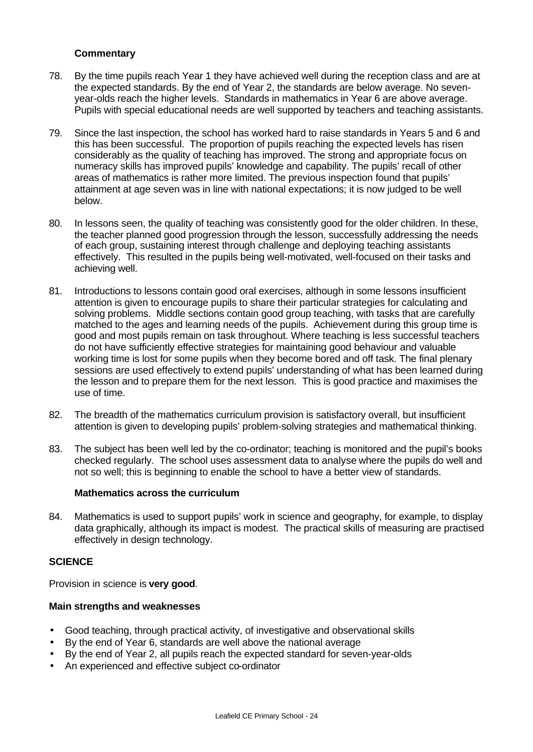## **Commentary**

- 78. By the time pupils reach Year 1 they have achieved well during the reception class and are at the expected standards. By the end of Year 2, the standards are below average. No sevenyear-olds reach the higher levels. Standards in mathematics in Year 6 are above average. Pupils with special educational needs are well supported by teachers and teaching assistants.
- 79. Since the last inspection, the school has worked hard to raise standards in Years 5 and 6 and this has been successful. The proportion of pupils reaching the expected levels has risen considerably as the quality of teaching has improved. The strong and appropriate focus on numeracy skills has improved pupils' knowledge and capability. The pupils' recall of other areas of mathematics is rather more limited. The previous inspection found that pupils' attainment at age seven was in line with national expectations; it is now judged to be well below.
- 80. In lessons seen, the quality of teaching was consistently good for the older children. In these, the teacher planned good progression through the lesson, successfully addressing the needs of each group, sustaining interest through challenge and deploying teaching assistants effectively. This resulted in the pupils being well-motivated, well-focused on their tasks and achieving well.
- 81. Introductions to lessons contain good oral exercises, although in some lessons insufficient attention is given to encourage pupils to share their particular strategies for calculating and solving problems. Middle sections contain good group teaching, with tasks that are carefully matched to the ages and learning needs of the pupils. Achievement during this group time is good and most pupils remain on task throughout. Where teaching is less successful teachers do not have sufficiently effective strategies for maintaining good behaviour and valuable working time is lost for some pupils when they become bored and off task. The final plenary sessions are used effectively to extend pupils' understanding of what has been learned during the lesson and to prepare them for the next lesson. This is good practice and maximises the use of time.
- 82. The breadth of the mathematics curriculum provision is satisfactory overall, but insufficient attention is given to developing pupils' problem-solving strategies and mathematical thinking.
- 83. The subject has been well led by the co-ordinator; teaching is monitored and the pupil's books checked regularly. The school uses assessment data to analyse where the pupils do well and not so well; this is beginning to enable the school to have a better view of standards.

#### **Mathematics across the curriculum**

84. Mathematics is used to support pupils' work in science and geography, for example, to display data graphically, although its impact is modest. The practical skills of measuring are practised effectively in design technology.

## **SCIENCE**

Provision in science is **very good**.

#### **Main strengths and weaknesses**

- Good teaching, through practical activity, of investigative and observational skills
- By the end of Year 6, standards are well above the national average
- By the end of Year 2, all pupils reach the expected standard for seven-year-olds
- An experienced and effective subject co-ordinator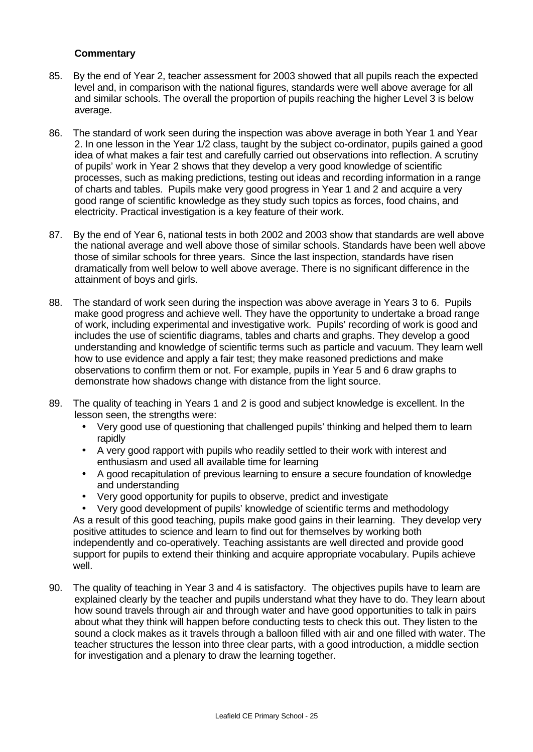## **Commentary**

- 85. By the end of Year 2, teacher assessment for 2003 showed that all pupils reach the expected level and, in comparison with the national figures, standards were well above average for all and similar schools. The overall the proportion of pupils reaching the higher Level 3 is below average.
- 86. The standard of work seen during the inspection was above average in both Year 1 and Year 2. In one lesson in the Year 1/2 class, taught by the subject co-ordinator, pupils gained a good idea of what makes a fair test and carefully carried out observations into reflection. A scrutiny of pupils' work in Year 2 shows that they develop a very good knowledge of scientific processes, such as making predictions, testing out ideas and recording information in a range of charts and tables. Pupils make very good progress in Year 1 and 2 and acquire a very good range of scientific knowledge as they study such topics as forces, food chains, and electricity. Practical investigation is a key feature of their work.
- 87. By the end of Year 6, national tests in both 2002 and 2003 show that standards are well above the national average and well above those of similar schools. Standards have been well above those of similar schools for three years. Since the last inspection, standards have risen dramatically from well below to well above average. There is no significant difference in the attainment of boys and girls.
- 88. The standard of work seen during the inspection was above average in Years 3 to 6. Pupils make good progress and achieve well. They have the opportunity to undertake a broad range of work, including experimental and investigative work. Pupils' recording of work is good and includes the use of scientific diagrams, tables and charts and graphs. They develop a good understanding and knowledge of scientific terms such as particle and vacuum. They learn well how to use evidence and apply a fair test; they make reasoned predictions and make observations to confirm them or not. For example, pupils in Year 5 and 6 draw graphs to demonstrate how shadows change with distance from the light source.
- 89. The quality of teaching in Years 1 and 2 is good and subject knowledge is excellent. In the lesson seen, the strengths were:
	- Very good use of questioning that challenged pupils' thinking and helped them to learn rapidly
	- A very good rapport with pupils who readily settled to their work with interest and enthusiasm and used all available time for learning
	- A good recapitulation of previous learning to ensure a secure foundation of knowledge and understanding
	- Very good opportunity for pupils to observe, predict and investigate

• Very good development of pupils' knowledge of scientific terms and methodology As a result of this good teaching, pupils make good gains in their learning. They develop very positive attitudes to science and learn to find out for themselves by working both independently and co-operatively. Teaching assistants are well directed and provide good support for pupils to extend their thinking and acquire appropriate vocabulary. Pupils achieve well.

90. The quality of teaching in Year 3 and 4 is satisfactory. The objectives pupils have to learn are explained clearly by the teacher and pupils understand what they have to do. They learn about how sound travels through air and through water and have good opportunities to talk in pairs about what they think will happen before conducting tests to check this out. They listen to the sound a clock makes as it travels through a balloon filled with air and one filled with water. The teacher structures the lesson into three clear parts, with a good introduction, a middle section for investigation and a plenary to draw the learning together.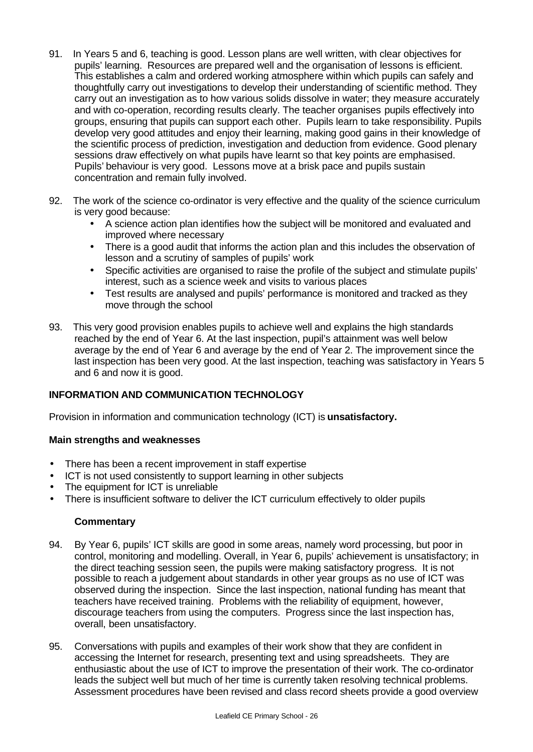- 91. In Years 5 and 6, teaching is good. Lesson plans are well written, with clear objectives for pupils' learning. Resources are prepared well and the organisation of lessons is efficient. This establishes a calm and ordered working atmosphere within which pupils can safely and thoughtfully carry out investigations to develop their understanding of scientific method. They carry out an investigation as to how various solids dissolve in water; they measure accurately and with co-operation, recording results clearly. The teacher organises pupils effectively into groups, ensuring that pupils can support each other. Pupils learn to take responsibility. Pupils develop very good attitudes and enjoy their learning, making good gains in their knowledge of the scientific process of prediction, investigation and deduction from evidence. Good plenary sessions draw effectively on what pupils have learnt so that key points are emphasised. Pupils' behaviour is very good. Lessons move at a brisk pace and pupils sustain concentration and remain fully involved.
- 92. The work of the science co-ordinator is very effective and the quality of the science curriculum is very good because:
	- A science action plan identifies how the subject will be monitored and evaluated and improved where necessary
	- There is a good audit that informs the action plan and this includes the observation of lesson and a scrutiny of samples of pupils' work
	- Specific activities are organised to raise the profile of the subject and stimulate pupils' interest, such as a science week and visits to various places
	- Test results are analysed and pupils' performance is monitored and tracked as they move through the school
- 93. This very good provision enables pupils to achieve well and explains the high standards reached by the end of Year 6. At the last inspection, pupil's attainment was well below average by the end of Year 6 and average by the end of Year 2. The improvement since the last inspection has been very good. At the last inspection, teaching was satisfactory in Years 5 and 6 and now it is good.

# **INFORMATION AND COMMUNICATION TECHNOLOGY**

Provision in information and communication technology (ICT) is **unsatisfactory.**

## **Main strengths and weaknesses**

- There has been a recent improvement in staff expertise
- ICT is not used consistently to support learning in other subjects
- The equipment for ICT is unreliable
- There is insufficient software to deliver the ICT curriculum effectively to older pupils

- 94. By Year 6, pupils' ICT skills are good in some areas, namely word processing, but poor in control, monitoring and modelling. Overall, in Year 6, pupils' achievement is unsatisfactory; in the direct teaching session seen, the pupils were making satisfactory progress. It is not possible to reach a judgement about standards in other year groups as no use of ICT was observed during the inspection. Since the last inspection, national funding has meant that teachers have received training. Problems with the reliability of equipment, however, discourage teachers from using the computers. Progress since the last inspection has, overall, been unsatisfactory.
- 95. Conversations with pupils and examples of their work show that they are confident in accessing the Internet for research, presenting text and using spreadsheets. They are enthusiastic about the use of ICT to improve the presentation of their work. The co-ordinator leads the subject well but much of her time is currently taken resolving technical problems. Assessment procedures have been revised and class record sheets provide a good overview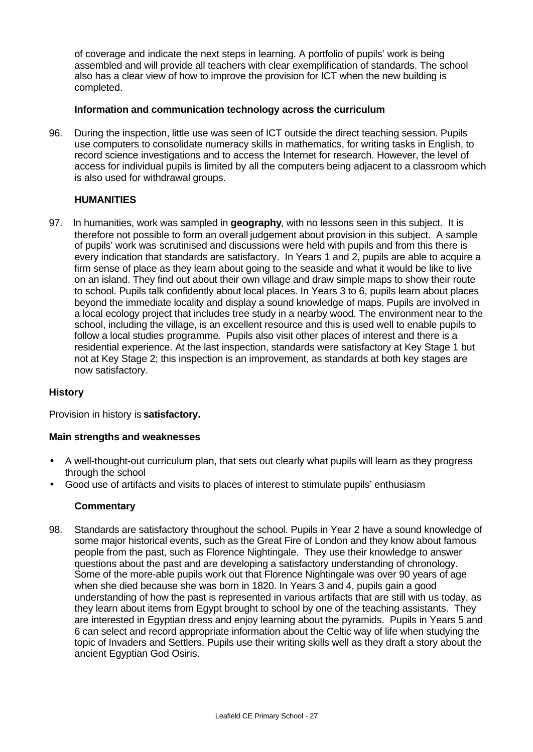of coverage and indicate the next steps in learning. A portfolio of pupils' work is being assembled and will provide all teachers with clear exemplification of standards. The school also has a clear view of how to improve the provision for ICT when the new building is completed.

## **Information and communication technology across the curriculum**

96. During the inspection, little use was seen of ICT outside the direct teaching session. Pupils use computers to consolidate numeracy skills in mathematics, for writing tasks in English, to record science investigations and to access the Internet for research. However, the level of access for individual pupils is limited by all the computers being adjacent to a classroom which is also used for withdrawal groups.

# **HUMANITIES**

97. In humanities, work was sampled in **geography**, with no lessons seen in this subject. It is therefore not possible to form an overall judgement about provision in this subject. A sample of pupils' work was scrutinised and discussions were held with pupils and from this there is every indication that standards are satisfactory. In Years 1 and 2, pupils are able to acquire a firm sense of place as they learn about going to the seaside and what it would be like to live on an island. They find out about their own village and draw simple maps to show their route to school. Pupils talk confidently about local places. In Years 3 to 6, pupils learn about places beyond the immediate locality and display a sound knowledge of maps. Pupils are involved in a local ecology project that includes tree study in a nearby wood. The environment near to the school, including the village, is an excellent resource and this is used well to enable pupils to follow a local studies programme. Pupils also visit other places of interest and there is a residential experience. At the last inspection, standards were satisfactory at Key Stage 1 but not at Key Stage 2; this inspection is an improvement, as standards at both key stages are now satisfactory.

## **History**

Provision in history is **satisfactory.**

## **Main strengths and weaknesses**

- A well-thought-out curriculum plan, that sets out clearly what pupils will learn as they progress through the school
- Good use of artifacts and visits to places of interest to stimulate pupils' enthusiasm

## **Commentary**

98. Standards are satisfactory throughout the school. Pupils in Year 2 have a sound knowledge of some major historical events, such as the Great Fire of London and they know about famous people from the past, such as Florence Nightingale. They use their knowledge to answer questions about the past and are developing a satisfactory understanding of chronology. Some of the more-able pupils work out that Florence Nightingale was over 90 years of age when she died because she was born in 1820. In Years 3 and 4, pupils gain a good understanding of how the past is represented in various artifacts that are still with us today, as they learn about items from Egypt brought to school by one of the teaching assistants. They are interested in Egyptian dress and enjoy learning about the pyramids. Pupils in Years 5 and 6 can select and record appropriate information about the Celtic way of life when studying the topic of Invaders and Settlers. Pupils use their writing skills well as they draft a story about the ancient Egyptian God Osiris.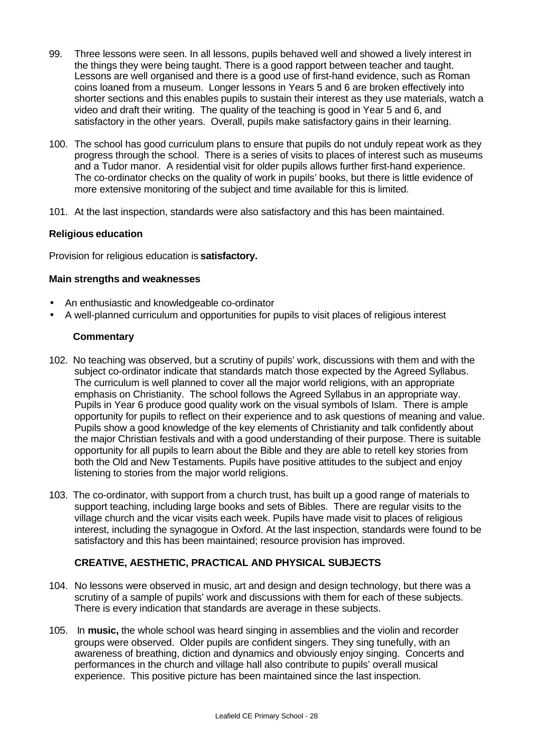- 99. Three lessons were seen. In all lessons, pupils behaved well and showed a lively interest in the things they were being taught. There is a good rapport between teacher and taught. Lessons are well organised and there is a good use of first-hand evidence, such as Roman coins loaned from a museum. Longer lessons in Years 5 and 6 are broken effectively into shorter sections and this enables pupils to sustain their interest as they use materials, watch a video and draft their writing. The quality of the teaching is good in Year 5 and 6, and satisfactory in the other years. Overall, pupils make satisfactory gains in their learning.
- 100. The school has good curriculum plans to ensure that pupils do not unduly repeat work as they progress through the school. There is a series of visits to places of interest such as museums and a Tudor manor. A residential visit for older pupils allows further first-hand experience. The co-ordinator checks on the quality of work in pupils' books, but there is little evidence of more extensive monitoring of the subject and time available for this is limited.
- 101. At the last inspection, standards were also satisfactory and this has been maintained.

## **Religious education**

Provision for religious education is **satisfactory.**

#### **Main strengths and weaknesses**

- An enthusiastic and knowledgeable co-ordinator
- A well-planned curriculum and opportunities for pupils to visit places of religious interest

## **Commentary**

- 102. No teaching was observed, but a scrutiny of pupils' work, discussions with them and with the subject co-ordinator indicate that standards match those expected by the Agreed Syllabus. The curriculum is well planned to cover all the major world religions, with an appropriate emphasis on Christianity. The school follows the Agreed Syllabus in an appropriate way. Pupils in Year 6 produce good quality work on the visual symbols of Islam. There is ample opportunity for pupils to reflect on their experience and to ask questions of meaning and value. Pupils show a good knowledge of the key elements of Christianity and talk confidently about the major Christian festivals and with a good understanding of their purpose. There is suitable opportunity for all pupils to learn about the Bible and they are able to retell key stories from both the Old and New Testaments. Pupils have positive attitudes to the subject and enjoy listening to stories from the major world religions.
- 103. The co-ordinator, with support from a church trust, has built up a good range of materials to support teaching, including large books and sets of Bibles. There are regular visits to the village church and the vicar visits each week. Pupils have made visit to places of religious interest, including the synagogue in Oxford. At the last inspection, standards were found to be satisfactory and this has been maintained; resource provision has improved.

## **CREATIVE, AESTHETIC, PRACTICAL AND PHYSICAL SUBJECTS**

- 104. No lessons were observed in music, art and design and design technology, but there was a scrutiny of a sample of pupils' work and discussions with them for each of these subjects. There is every indication that standards are average in these subjects.
- 105. In **music,** the whole school was heard singing in assemblies and the violin and recorder groups were observed. Older pupils are confident singers. They sing tunefully, with an awareness of breathing, diction and dynamics and obviously enjoy singing. Concerts and performances in the church and village hall also contribute to pupils' overall musical experience. This positive picture has been maintained since the last inspection.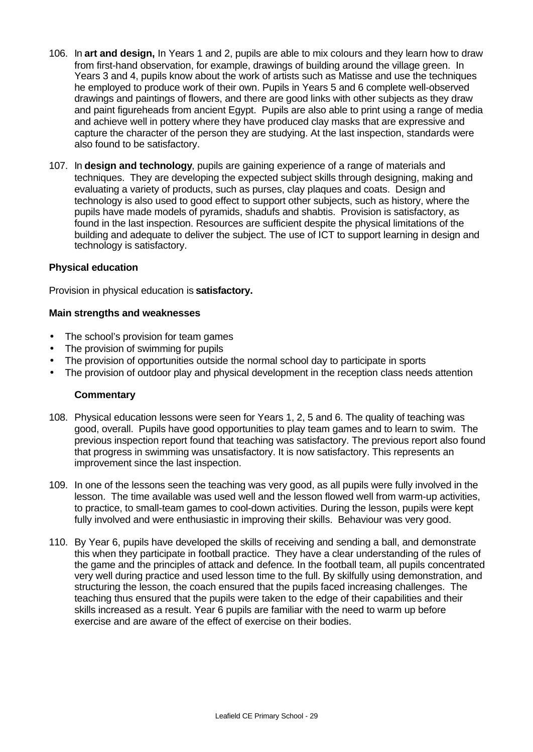- 106. In **art and design,** In Years 1 and 2, pupils are able to mix colours and they learn how to draw from first-hand observation, for example, drawings of building around the village green. In Years 3 and 4, pupils know about the work of artists such as Matisse and use the techniques he employed to produce work of their own. Pupils in Years 5 and 6 complete well-observed drawings and paintings of flowers, and there are good links with other subjects as they draw and paint figureheads from ancient Egypt. Pupils are also able to print using a range of media and achieve well in pottery where they have produced clay masks that are expressive and capture the character of the person they are studying. At the last inspection, standards were also found to be satisfactory.
- 107. In **design and technology**, pupils are gaining experience of a range of materials and techniques. They are developing the expected subject skills through designing, making and evaluating a variety of products, such as purses, clay plaques and coats. Design and technology is also used to good effect to support other subjects, such as history, where the pupils have made models of pyramids, shadufs and shabtis. Provision is satisfactory, as found in the last inspection. Resources are sufficient despite the physical limitations of the building and adequate to deliver the subject. The use of ICT to support learning in design and technology is satisfactory.

#### **Physical education**

Provision in physical education is **satisfactory.**

#### **Main strengths and weaknesses**

- The school's provision for team games
- The provision of swimming for pupils
- The provision of opportunities outside the normal school day to participate in sports
- The provision of outdoor play and physical development in the reception class needs attention

- 108. Physical education lessons were seen for Years 1, 2, 5 and 6. The quality of teaching was good, overall. Pupils have good opportunities to play team games and to learn to swim. The previous inspection report found that teaching was satisfactory. The previous report also found that progress in swimming was unsatisfactory. It is now satisfactory. This represents an improvement since the last inspection.
- 109. In one of the lessons seen the teaching was very good, as all pupils were fully involved in the lesson. The time available was used well and the lesson flowed well from warm-up activities, to practice, to small-team games to cool-down activities. During the lesson, pupils were kept fully involved and were enthusiastic in improving their skills. Behaviour was very good.
- 110. By Year 6, pupils have developed the skills of receiving and sending a ball, and demonstrate this when they participate in football practice. They have a clear understanding of the rules of the game and the principles of attack and defence. In the football team, all pupils concentrated very well during practice and used lesson time to the full. By skilfully using demonstration, and structuring the lesson, the coach ensured that the pupils faced increasing challenges. The teaching thus ensured that the pupils were taken to the edge of their capabilities and their skills increased as a result. Year 6 pupils are familiar with the need to warm up before exercise and are aware of the effect of exercise on their bodies.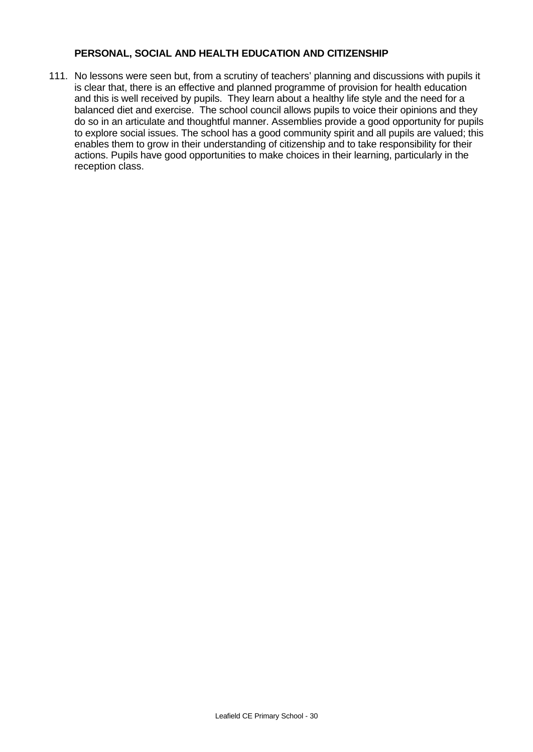#### **PERSONAL, SOCIAL AND HEALTH EDUCATION AND CITIZENSHIP**

111. No lessons were seen but, from a scrutiny of teachers' planning and discussions with pupils it is clear that, there is an effective and planned programme of provision for health education and this is well received by pupils. They learn about a healthy life style and the need for a balanced diet and exercise. The school council allows pupils to voice their opinions and they do so in an articulate and thoughtful manner. Assemblies provide a good opportunity for pupils to explore social issues. The school has a good community spirit and all pupils are valued; this enables them to grow in their understanding of citizenship and to take responsibility for their actions. Pupils have good opportunities to make choices in their learning, particularly in the reception class.